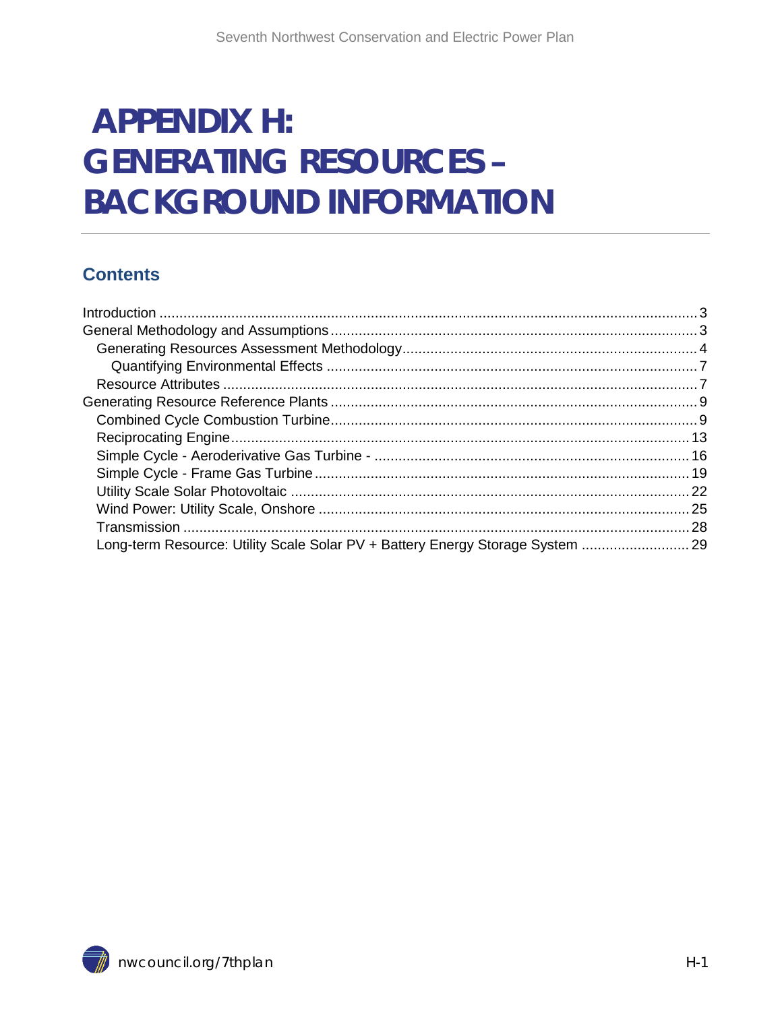# **APPENDIX H: GENERATING RESOURCES -BACKGROUND INFORMATION**

#### **Contents**

<span id="page-0-0"></span>

| Long-term Resource: Utility Scale Solar PV + Battery Energy Storage System  29 |
|--------------------------------------------------------------------------------|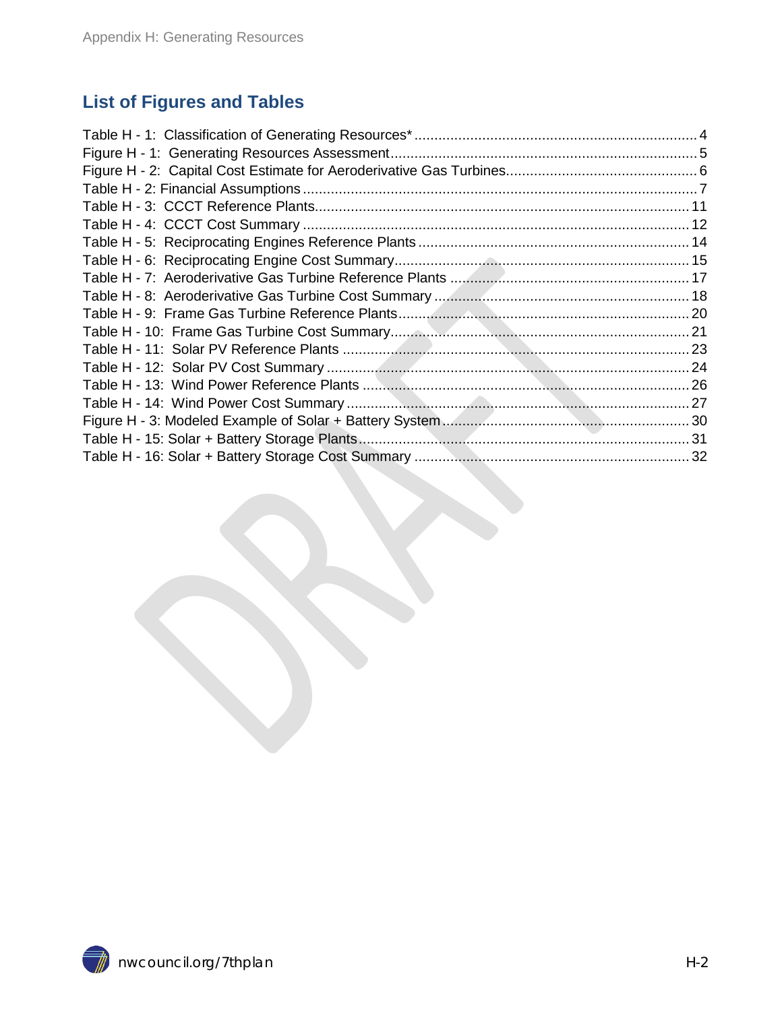#### **List of Figures and Tables**

<span id="page-1-0"></span>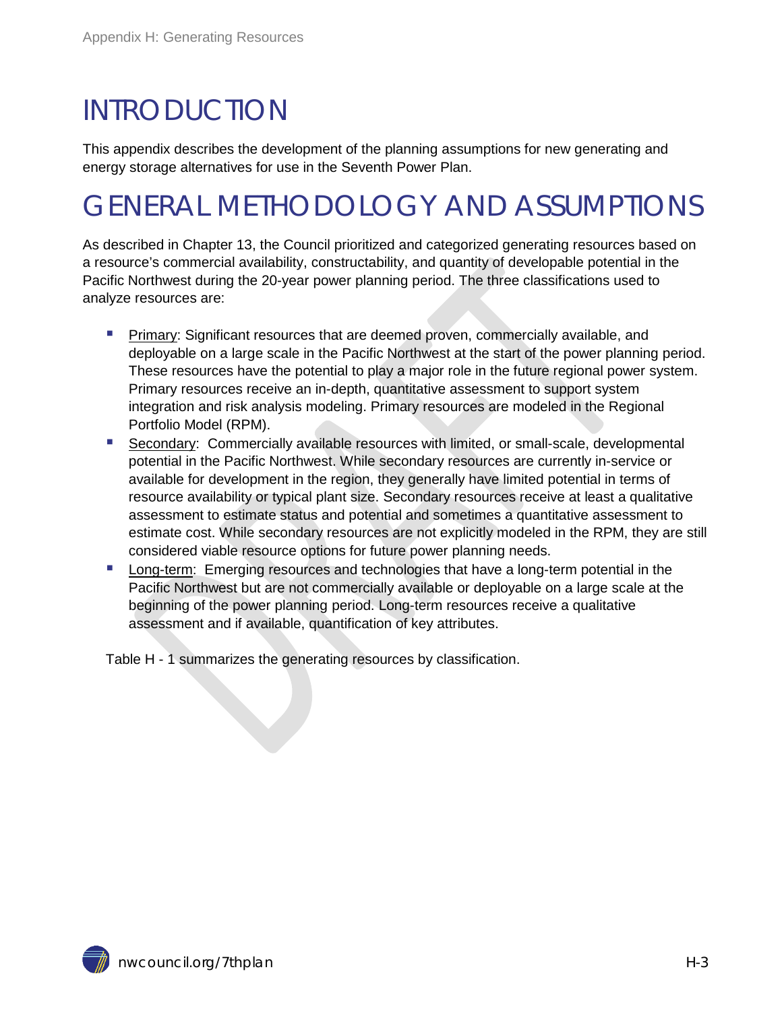# INTRODUCTION

This appendix describes the development of the planning assumptions for new generating and energy storage alternatives for use in the Seventh Power Plan.

# <span id="page-2-0"></span>GENERAL METHODOLOGY AND ASSUMPTIONS

As described in Chapter 13, the Council prioritized and categorized generating resources based on a resource's commercial availability, constructability, and quantity of developable potential in the Pacific Northwest during the 20-year power planning period. The three classifications used to analyze resources are:

- **Primary: Significant resources that are deemed proven, commercially available, and** deployable on a large scale in the Pacific Northwest at the start of the power planning period. These resources have the potential to play a major role in the future regional power system. Primary resources receive an in-depth, quantitative assessment to support system integration and risk analysis modeling. Primary resources are modeled in the Regional Portfolio Model (RPM).
- Secondary: Commercially available resources with limited, or small-scale, developmental potential in the Pacific Northwest. While secondary resources are currently in-service or available for development in the region, they generally have limited potential in terms of resource availability or typical plant size. Secondary resources receive at least a qualitative assessment to estimate status and potential and sometimes a quantitative assessment to estimate cost. While secondary resources are not explicitly modeled in the RPM, they are still considered viable resource options for future power planning needs.
- **Long-term: Emerging resources and technologies that have a long-term potential in the** Pacific Northwest but are not commercially available or deployable on a large scale at the beginning of the power planning period. Long-term resources receive a qualitative assessment and if available, quantification of key attributes.

Table H - 1 summarizes the generating resources by classification.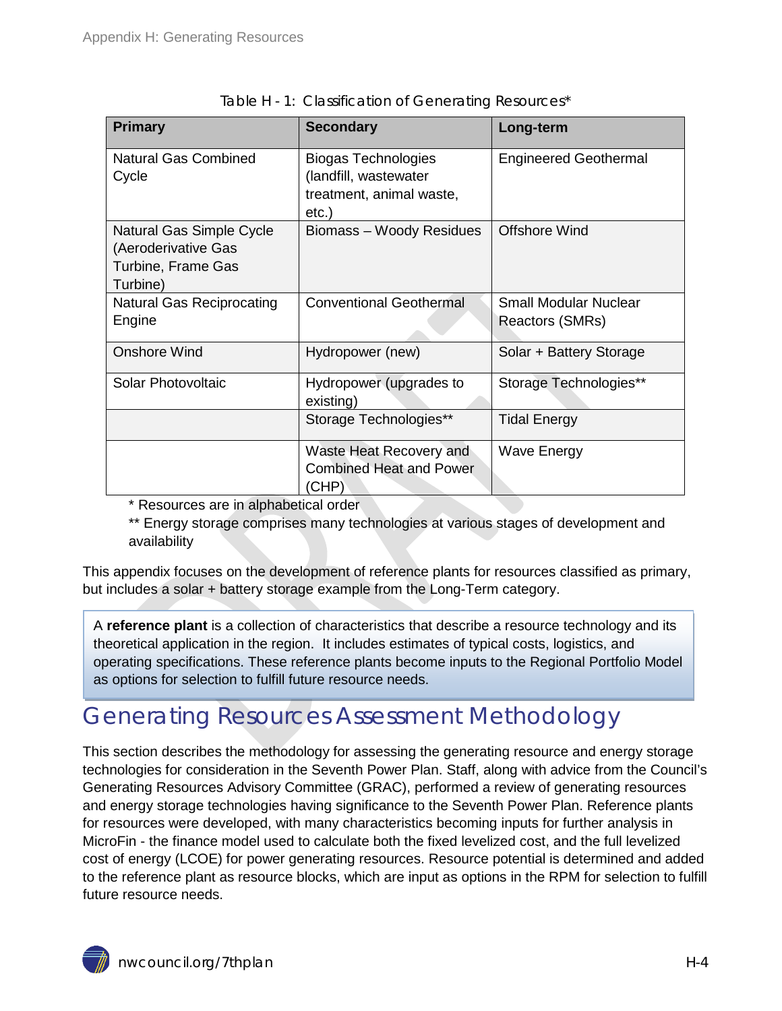<span id="page-3-1"></span>

| <b>Primary</b>                                                                    | <b>Secondary</b>                                                                         | Long-term                                       |
|-----------------------------------------------------------------------------------|------------------------------------------------------------------------------------------|-------------------------------------------------|
| <b>Natural Gas Combined</b><br>Cycle                                              | <b>Biogas Technologies</b><br>(landfill, wastewater<br>treatment, animal waste,<br>etc.) | <b>Engineered Geothermal</b>                    |
| Natural Gas Simple Cycle<br>(Aeroderivative Gas<br>Turbine, Frame Gas<br>Turbine) | Biomass - Woody Residues                                                                 | Offshore Wind                                   |
| Natural Gas Reciprocating<br>Engine                                               | <b>Conventional Geothermal</b>                                                           | <b>Small Modular Nuclear</b><br>Reactors (SMRs) |
| <b>Onshore Wind</b>                                                               | Hydropower (new)                                                                         | Solar + Battery Storage                         |
| Solar Photovoltaic                                                                | Hydropower (upgrades to<br>existing)                                                     | Storage Technologies**                          |
|                                                                                   | Storage Technologies**                                                                   | <b>Tidal Energy</b>                             |
|                                                                                   | Waste Heat Recovery and<br><b>Combined Heat and Power</b><br>(CHP)                       | <b>Wave Energy</b>                              |

\* Resources are in alphabetical order

\*\* Energy storage comprises many technologies at various stages of development and availability

This appendix focuses on the development of reference plants for resources classified as primary, but includes a solar + battery storage example from the Long-Term category.

A **reference plant** is a collection of characteristics that describe a resource technology and its theoretical application in the region. It includes estimates of typical costs, logistics, and operating specifications. These reference plants become inputs to the Regional Portfolio Model as options for selection to fulfill future resource needs.

## <span id="page-3-0"></span>Generating Resources Assessment Methodology

This section describes the methodology for assessing the generating resource and energy storage technologies for consideration in the Seventh Power Plan. Staff, along with advice from the Council's Generating Resources Advisory Committee (GRAC), performed a review of generating resources and energy storage technologies having significance to the Seventh Power Plan. Reference plants for resources were developed, with many characteristics becoming inputs for further analysis in MicroFin - the finance model used to calculate both the fixed levelized cost, and the full levelized cost of energy (LCOE) for power generating resources. Resource potential is determined and added to the reference plant as resource blocks, which are input as options in the RPM for selection to fulfill future resource needs.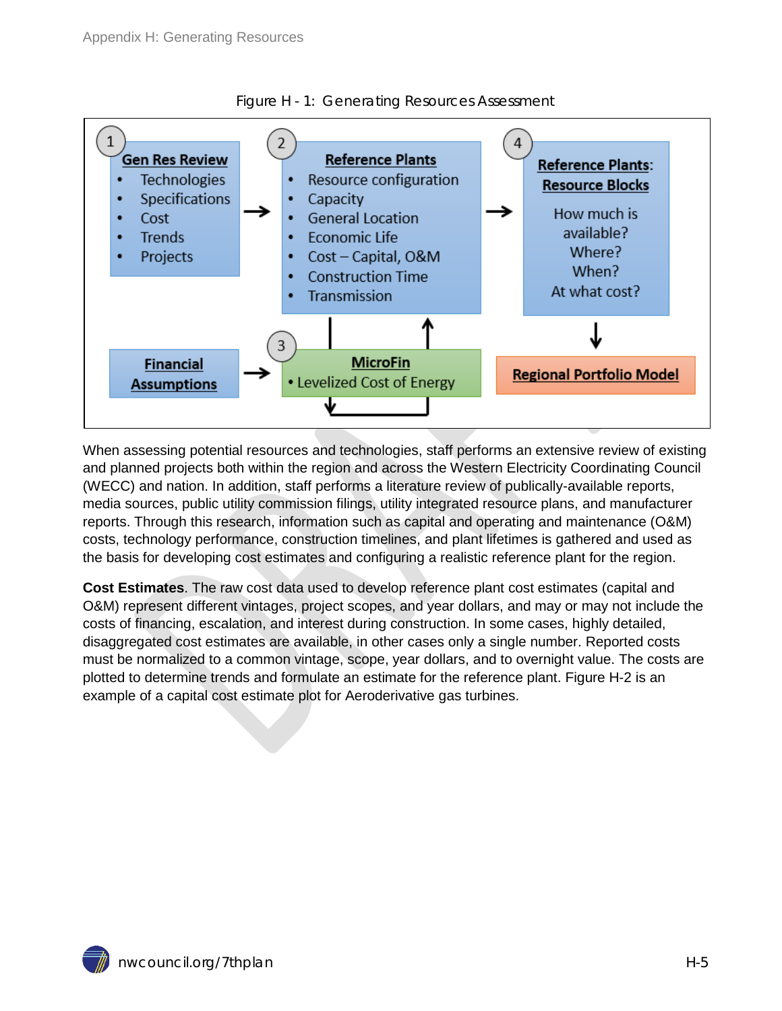<span id="page-4-0"></span>



When assessing potential resources and technologies, staff performs an extensive review of existing and planned projects both within the region and across the Western Electricity Coordinating Council (WECC) and nation. In addition, staff performs a literature review of publically-available reports, media sources, public utility commission filings, utility integrated resource plans, and manufacturer reports. Through this research, information such as capital and operating and maintenance (O&M) costs, technology performance, construction timelines, and plant lifetimes is gathered and used as the basis for developing cost estimates and configuring a realistic reference plant for the region.

**Cost Estimates**. The raw cost data used to develop reference plant cost estimates (capital and O&M) represent different vintages, project scopes, and year dollars, and may or may not include the costs of financing, escalation, and interest during construction. In some cases, highly detailed, disaggregated cost estimates are available, in other cases only a single number. Reported costs must be normalized to a common vintage, scope, year dollars, and to overnight value. The costs are plotted to determine trends and formulate an estimate for the reference plant. Figure H-2 is an example of a capital cost estimate plot for Aeroderivative gas turbines.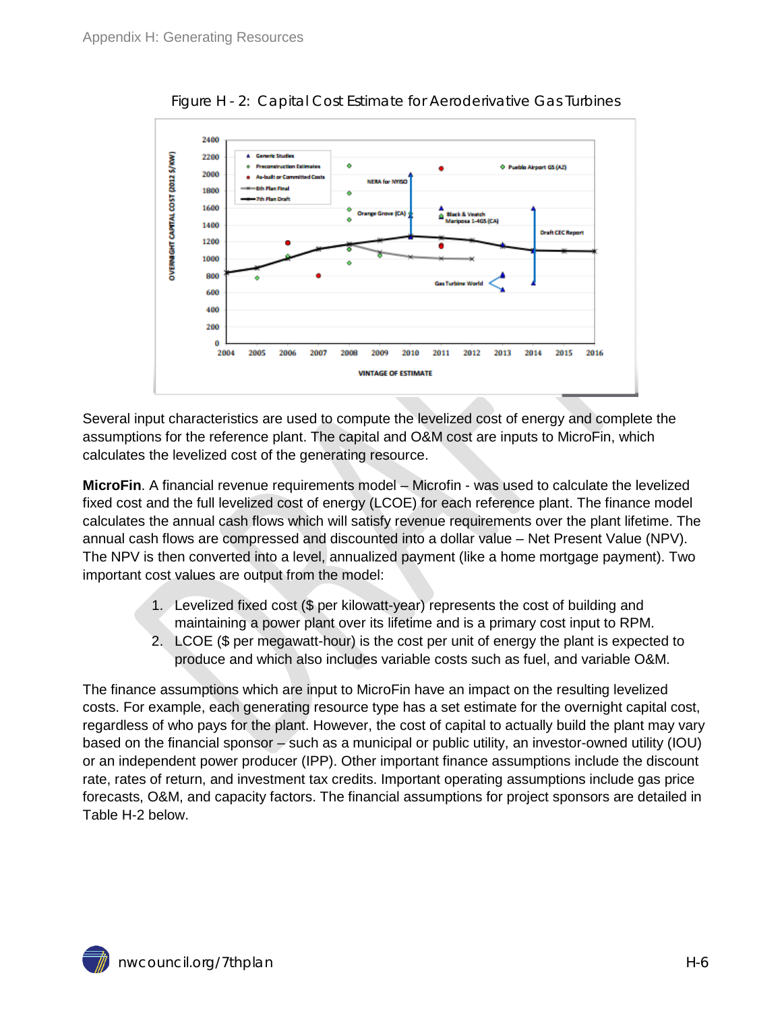<span id="page-5-0"></span>

Figure H - 2: Capital Cost Estimate for Aeroderivative Gas Turbines

Several input characteristics are used to compute the levelized cost of energy and complete the assumptions for the reference plant. The capital and O&M cost are inputs to MicroFin, which calculates the levelized cost of the generating resource.

**MicroFin**. A financial revenue requirements model – Microfin - was used to calculate the levelized fixed cost and the full levelized cost of energy (LCOE) for each reference plant. The finance model calculates the annual cash flows which will satisfy revenue requirements over the plant lifetime. The annual cash flows are compressed and discounted into a dollar value – Net Present Value (NPV). The NPV is then converted into a level, annualized payment (like a home mortgage payment). Two important cost values are output from the model:

- 1. Levelized fixed cost (\$ per kilowatt-year) represents the cost of building and maintaining a power plant over its lifetime and is a primary cost input to RPM.
- 2. LCOE (\$ per megawatt-hour) is the cost per unit of energy the plant is expected to produce and which also includes variable costs such as fuel, and variable O&M.

The finance assumptions which are input to MicroFin have an impact on the resulting levelized costs. For example, each generating resource type has a set estimate for the overnight capital cost, regardless of who pays for the plant. However, the cost of capital to actually build the plant may vary based on the financial sponsor – such as a municipal or public utility, an investor-owned utility (IOU) or an independent power producer (IPP). Other important finance assumptions include the discount rate, rates of return, and investment tax credits. Important operating assumptions include gas price forecasts, O&M, and capacity factors. The financial assumptions for project sponsors are detailed in Table H-2 below.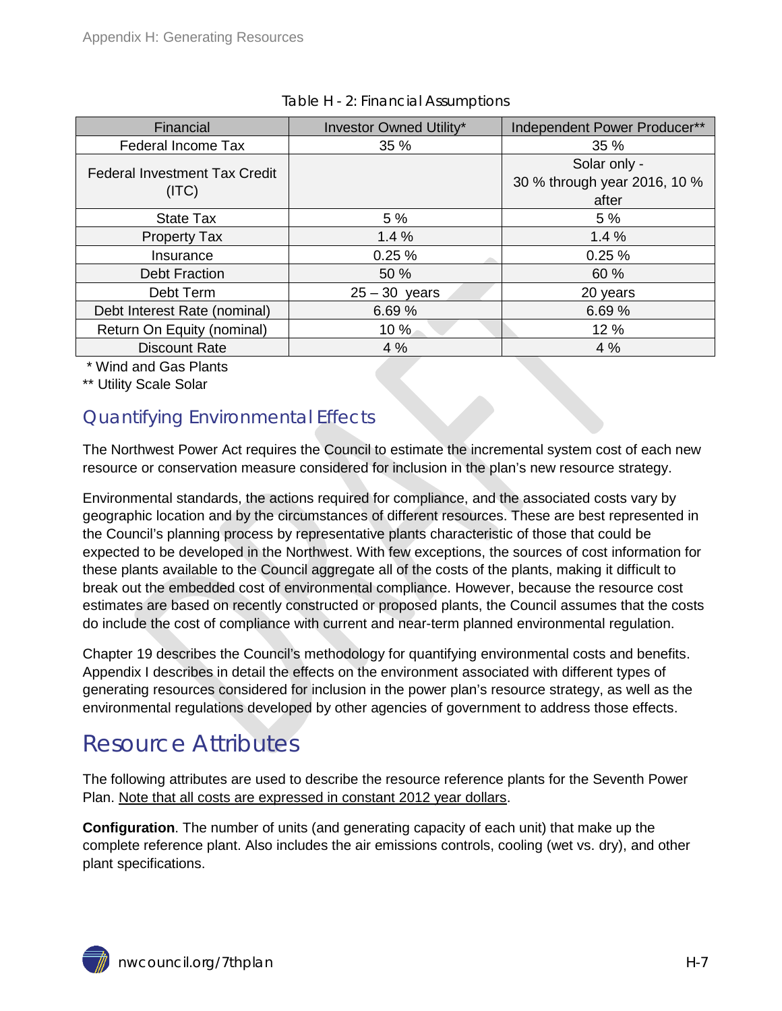<span id="page-6-2"></span>

| Financial                                     | <b>Investor Owned Utility*</b> | Independent Power Producer**                          |
|-----------------------------------------------|--------------------------------|-------------------------------------------------------|
| Federal Income Tax                            | 35 %                           | 35 %                                                  |
| <b>Federal Investment Tax Credit</b><br>(ITC) |                                | Solar only -<br>30 % through year 2016, 10 %<br>after |
| <b>State Tax</b>                              | 5 %                            | 5 %                                                   |
| <b>Property Tax</b>                           | 1.4%                           | 1.4%                                                  |
| Insurance                                     | 0.25%                          | 0.25%                                                 |
| <b>Debt Fraction</b>                          | 50 %                           | 60 %                                                  |
| Debt Term                                     | $25 - 30$ years                | 20 years                                              |
| Debt Interest Rate (nominal)                  | 6.69%                          | 6.69%                                                 |
| Return On Equity (nominal)                    | 10 %                           | 12 %                                                  |
| <b>Discount Rate</b>                          | 4%                             | 4%                                                    |

| Table H - 2: Financial Assumptions |
|------------------------------------|
|------------------------------------|

\* Wind and Gas Plants

\*\* Utility Scale Solar

#### <span id="page-6-0"></span>Quantifying Environmental Effects

The Northwest Power Act requires the Council to estimate the incremental system cost of each new resource or conservation measure considered for inclusion in the plan's new resource strategy.

Environmental standards, the actions required for compliance, and the associated costs vary by geographic location and by the circumstances of different resources. These are best represented in the Council's planning process by representative plants characteristic of those that could be expected to be developed in the Northwest. With few exceptions, the sources of cost information for these plants available to the Council aggregate all of the costs of the plants, making it difficult to break out the embedded cost of environmental compliance. However, because the resource cost estimates are based on recently constructed or proposed plants, the Council assumes that the costs do include the cost of compliance with current and near-term planned environmental regulation.

Chapter 19 describes the Council's methodology for quantifying environmental costs and benefits. Appendix I describes in detail the effects on the environment associated with different types of generating resources considered for inclusion in the power plan's resource strategy, as well as the environmental regulations developed by other agencies of government to address those effects.

### <span id="page-6-1"></span>Resource Attributes

The following attributes are used to describe the resource reference plants for the Seventh Power Plan. Note that all costs are expressed in constant 2012 year dollars.

**Configuration**. The number of units (and generating capacity of each unit) that make up the complete reference plant. Also includes the air emissions controls, cooling (wet vs. dry), and other plant specifications.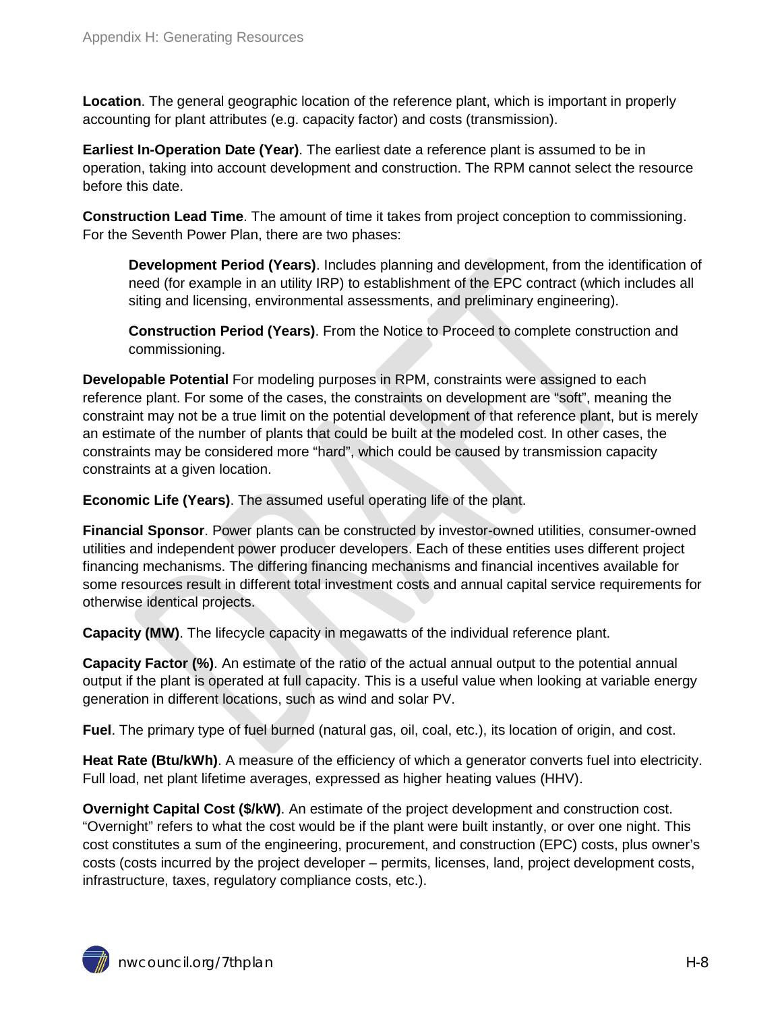**Location**. The general geographic location of the reference plant, which is important in properly accounting for plant attributes (e.g. capacity factor) and costs (transmission).

**Earliest In-Operation Date (Year)**. The earliest date a reference plant is assumed to be in operation, taking into account development and construction. The RPM cannot select the resource before this date.

**Construction Lead Time**. The amount of time it takes from project conception to commissioning. For the Seventh Power Plan, there are two phases:

**Development Period (Years)**. Includes planning and development, from the identification of need (for example in an utility IRP) to establishment of the EPC contract (which includes all siting and licensing, environmental assessments, and preliminary engineering).

**Construction Period (Years)**. From the Notice to Proceed to complete construction and commissioning.

**Developable Potential** For modeling purposes in RPM, constraints were assigned to each reference plant. For some of the cases, the constraints on development are "soft", meaning the constraint may not be a true limit on the potential development of that reference plant, but is merely an estimate of the number of plants that could be built at the modeled cost. In other cases, the constraints may be considered more "hard", which could be caused by transmission capacity constraints at a given location.

**Economic Life (Years)**. The assumed useful operating life of the plant.

**Financial Sponsor**. Power plants can be constructed by investor-owned utilities, consumer-owned utilities and independent power producer developers. Each of these entities uses different project financing mechanisms. The differing financing mechanisms and financial incentives available for some resources result in different total investment costs and annual capital service requirements for otherwise identical projects.

**Capacity (MW)**. The lifecycle capacity in megawatts of the individual reference plant.

**Capacity Factor (%)**. An estimate of the ratio of the actual annual output to the potential annual output if the plant is operated at full capacity. This is a useful value when looking at variable energy generation in different locations, such as wind and solar PV.

**Fuel**. The primary type of fuel burned (natural gas, oil, coal, etc.), its location of origin, and cost.

**Heat Rate (Btu/kWh)**. A measure of the efficiency of which a generator converts fuel into electricity. Full load, net plant lifetime averages, expressed as higher heating values (HHV).

**Overnight Capital Cost (\$/kW)**. An estimate of the project development and construction cost. "Overnight" refers to what the cost would be if the plant were built instantly, or over one night. This cost constitutes a sum of the engineering, procurement, and construction (EPC) costs, plus owner's costs (costs incurred by the project developer – permits, licenses, land, project development costs, infrastructure, taxes, regulatory compliance costs, etc.).

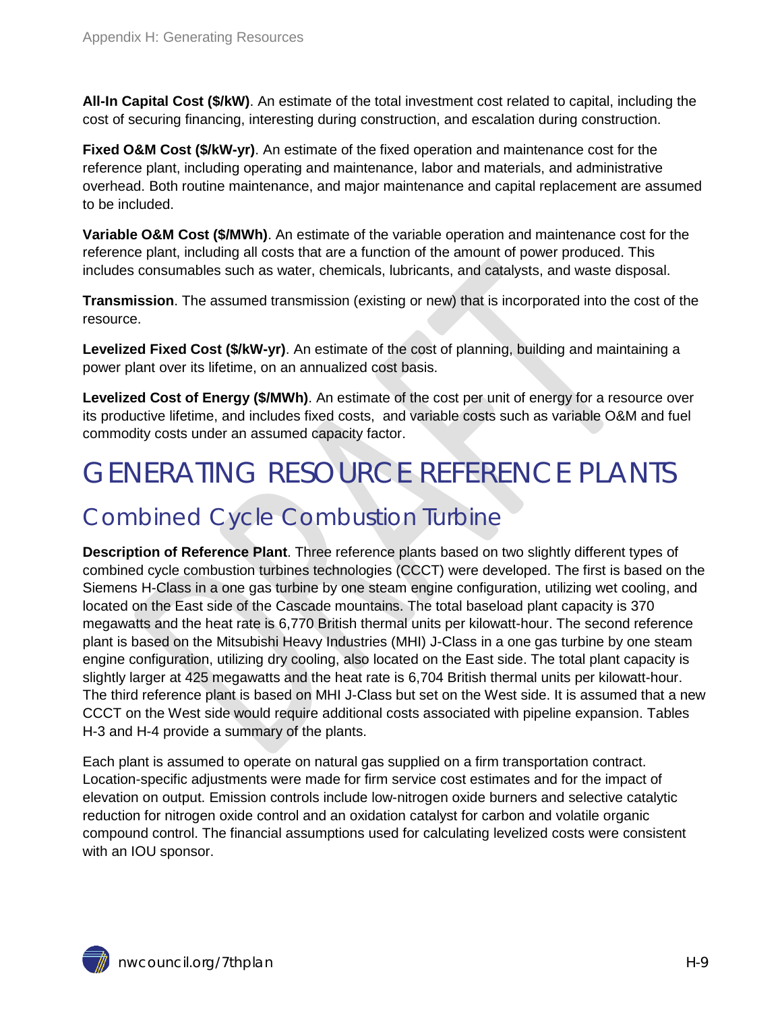**All-In Capital Cost (\$/kW)**. An estimate of the total investment cost related to capital, including the cost of securing financing, interesting during construction, and escalation during construction.

**Fixed O&M Cost (\$/kW-yr)**. An estimate of the fixed operation and maintenance cost for the reference plant, including operating and maintenance, labor and materials, and administrative overhead. Both routine maintenance, and major maintenance and capital replacement are assumed to be included.

**Variable O&M Cost (\$/MWh)**. An estimate of the variable operation and maintenance cost for the reference plant, including all costs that are a function of the amount of power produced. This includes consumables such as water, chemicals, lubricants, and catalysts, and waste disposal.

**Transmission**. The assumed transmission (existing or new) that is incorporated into the cost of the resource.

**Levelized Fixed Cost (\$/kW-yr)**. An estimate of the cost of planning, building and maintaining a power plant over its lifetime, on an annualized cost basis.

Levelized Cost of Energy (\$/MWh). An estimate of the cost per unit of energy for a resource over its productive lifetime, and includes fixed costs, and variable costs such as variable O&M and fuel commodity costs under an assumed capacity factor.

# <span id="page-8-0"></span>GENERATING RESOURCE REFERENCE PLANTS

### <span id="page-8-1"></span>Combined Cycle Combustion Turbine

**Description of Reference Plant**. Three reference plants based on two slightly different types of combined cycle combustion turbines technologies (CCCT) were developed. The first is based on the Siemens H-Class in a one gas turbine by one steam engine configuration, utilizing wet cooling, and located on the East side of the Cascade mountains. The total baseload plant capacity is 370 megawatts and the heat rate is 6,770 British thermal units per kilowatt-hour. The second reference plant is based on the Mitsubishi Heavy Industries (MHI) J-Class in a one gas turbine by one steam engine configuration, utilizing dry cooling, also located on the East side. The total plant capacity is slightly larger at 425 megawatts and the heat rate is 6,704 British thermal units per kilowatt-hour. The third reference plant is based on MHI J-Class but set on the West side. It is assumed that a new CCCT on the West side would require additional costs associated with pipeline expansion. Tables H-3 and H-4 provide a summary of the plants.

Each plant is assumed to operate on natural gas supplied on a firm transportation contract. Location-specific adjustments were made for firm service cost estimates and for the impact of elevation on output. Emission controls include low-nitrogen oxide burners and selective catalytic reduction for nitrogen oxide control and an oxidation catalyst for carbon and volatile organic compound control. The financial assumptions used for calculating levelized costs were consistent with an IOU sponsor.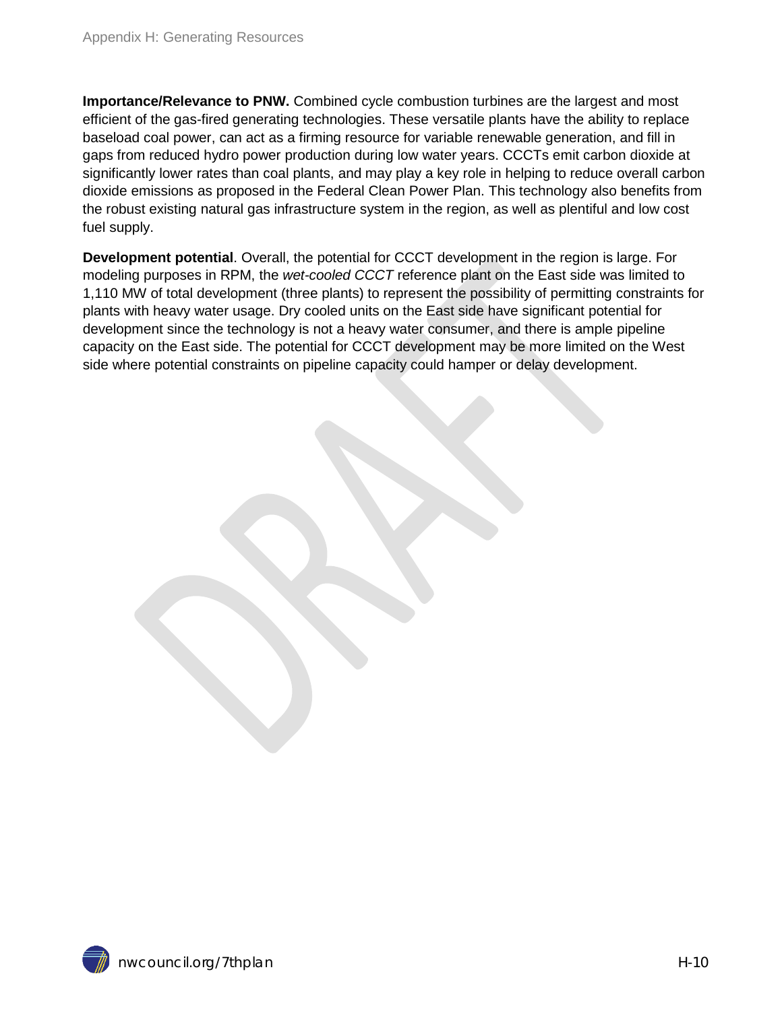**Importance/Relevance to PNW.** Combined cycle combustion turbines are the largest and most efficient of the gas-fired generating technologies. These versatile plants have the ability to replace baseload coal power, can act as a firming resource for variable renewable generation, and fill in gaps from reduced hydro power production during low water years. CCCTs emit carbon dioxide at significantly lower rates than coal plants, and may play a key role in helping to reduce overall carbon dioxide emissions as proposed in the Federal Clean Power Plan. This technology also benefits from the robust existing natural gas infrastructure system in the region, as well as plentiful and low cost fuel supply.

**Development potential**. Overall, the potential for CCCT development in the region is large. For modeling purposes in RPM, the *wet-cooled CCCT* reference plant on the East side was limited to 1,110 MW of total development (three plants) to represent the possibility of permitting constraints for plants with heavy water usage. Dry cooled units on the East side have significant potential for development since the technology is not a heavy water consumer, and there is ample pipeline capacity on the East side. The potential for CCCT development may be more limited on the West side where potential constraints on pipeline capacity could hamper or delay development.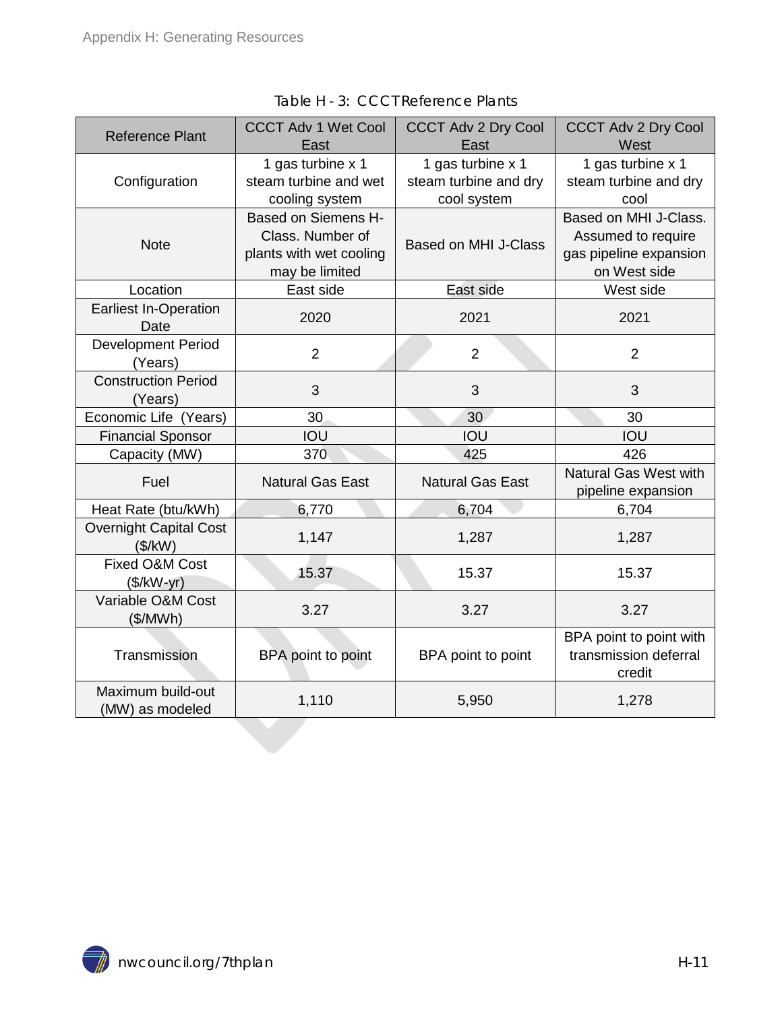<span id="page-10-0"></span>

| <b>Reference Plant</b>                     | <b>CCCT Adv 1 Wet Cool</b><br><b>CCCT Adv 2 Dry Cool</b><br>East<br>East                    |                                                           | <b>CCCT Adv 2 Dry Cool</b><br>West                                                    |
|--------------------------------------------|---------------------------------------------------------------------------------------------|-----------------------------------------------------------|---------------------------------------------------------------------------------------|
| Configuration                              | 1 gas turbine x 1<br>steam turbine and wet<br>cooling system                                | 1 gas turbine x 1<br>steam turbine and dry<br>cool system | 1 gas turbine x 1<br>steam turbine and dry<br>cool                                    |
| <b>Note</b>                                | <b>Based on Siemens H-</b><br>Class. Number of<br>plants with wet cooling<br>may be limited | <b>Based on MHI J-Class</b>                               | Based on MHI J-Class.<br>Assumed to require<br>gas pipeline expansion<br>on West side |
| Location                                   | East side                                                                                   | East side                                                 | West side                                                                             |
| <b>Earliest In-Operation</b><br>Date       | 2020                                                                                        | 2021                                                      | 2021                                                                                  |
| <b>Development Period</b><br>(Years)       | $\overline{2}$                                                                              | $\overline{2}$                                            | 2                                                                                     |
| <b>Construction Period</b><br>3<br>(Years) |                                                                                             | 3                                                         | 3                                                                                     |
| Economic Life (Years)                      | 30                                                                                          |                                                           | 30                                                                                    |
| <b>Financial Sponsor</b>                   | IOU                                                                                         | IOU                                                       | IOU                                                                                   |
| Capacity (MW)                              | 370                                                                                         | 425                                                       | 426                                                                                   |
| Fuel                                       | <b>Natural Gas East</b><br><b>Natural Gas East</b>                                          |                                                           | <b>Natural Gas West with</b><br>pipeline expansion                                    |
| Heat Rate (btu/kWh)                        | 6,770                                                                                       | 6,704                                                     | 6,704                                                                                 |
| <b>Overnight Capital Cost</b><br>(\$/kW)   | 1,147                                                                                       |                                                           | 1,287                                                                                 |
| Fixed O&M Cost<br>15.37<br>$($/kW-yr)$     |                                                                                             | 15.37                                                     | 15.37                                                                                 |
| Variable O&M Cost<br>3.27<br>(\$/MWh)      |                                                                                             | 3.27                                                      | 3.27                                                                                  |
| Transmission                               | BPA point to point                                                                          | BPA point to point                                        | BPA point to point with<br>transmission deferral<br>credit                            |
| Maximum build-out<br>(MW) as modeled       | 1,110                                                                                       | 5,950                                                     | 1,278                                                                                 |

Table H - 3: CCCT Reference Plants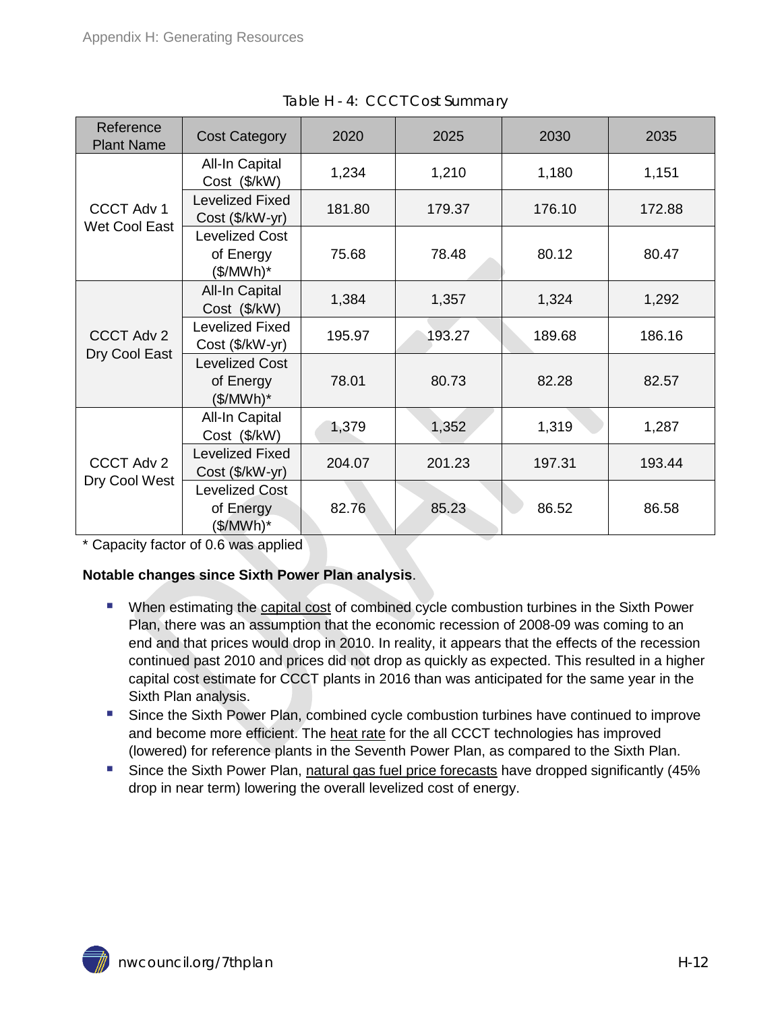<span id="page-11-1"></span>

| Reference<br><b>Plant Name</b>     | <b>Cost Category</b>                            | 2020   | 2025   | 2030   | 2035   |
|------------------------------------|-------------------------------------------------|--------|--------|--------|--------|
|                                    | All-In Capital<br>Cost (\$/kW)                  | 1,234  | 1,210  | 1,180  | 1,151  |
| <b>CCCT Adv 1</b><br>Wet Cool East | <b>Levelized Fixed</b><br>Cost (\$/kW-yr)       | 181.80 | 179.37 | 176.10 | 172.88 |
|                                    | <b>Levelized Cost</b><br>of Energy<br>(\$/MWh)* | 75.68  | 78.48  | 80.12  | 80.47  |
| <b>CCCT Adv 2</b><br>Dry Cool East | <b>All-In Capital</b><br>Cost (\$/kW)           | 1,384  | 1,357  | 1,324  | 1,292  |
|                                    | <b>Levelized Fixed</b><br>Cost (\$/kW-yr)       | 195.97 | 193.27 | 189.68 | 186.16 |
|                                    | <b>Levelized Cost</b><br>of Energy<br>(\$/MWh)* | 78.01  | 80.73  | 82.28  | 82.57  |
|                                    | All-In Capital<br>Cost (\$/kW)                  | 1,379  | 1,352  | 1,319  | 1,287  |
| CCCT Adv 2<br>Dry Cool West        | <b>Levelized Fixed</b><br>Cost (\$/kW-yr)       | 204.07 | 201.23 | 197.31 | 193.44 |
|                                    | <b>Levelized Cost</b><br>of Energy<br>(\$/MWh)* | 82.76  | 85.23  | 86.52  | 86.58  |

Table H - 4: CCCT Cost Summary

\* Capacity factor of 0.6 was applied

#### **Notable changes since Sixth Power Plan analysis**.

- When estimating the capital cost of combined cycle combustion turbines in the Sixth Power Plan, there was an assumption that the economic recession of 2008-09 was coming to an end and that prices would drop in 2010. In reality, it appears that the effects of the recession continued past 2010 and prices did not drop as quickly as expected. This resulted in a higher capital cost estimate for CCCT plants in 2016 than was anticipated for the same year in the Sixth Plan analysis.
- **Since the Sixth Power Plan, combined cycle combustion turbines have continued to improve** and become more efficient. The heat rate for the all CCCT technologies has improved (lowered) for reference plants in the Seventh Power Plan, as compared to the Sixth Plan.
- <span id="page-11-0"></span> Since the Sixth Power Plan, natural gas fuel price forecasts have dropped significantly (45% drop in near term) lowering the overall levelized cost of energy.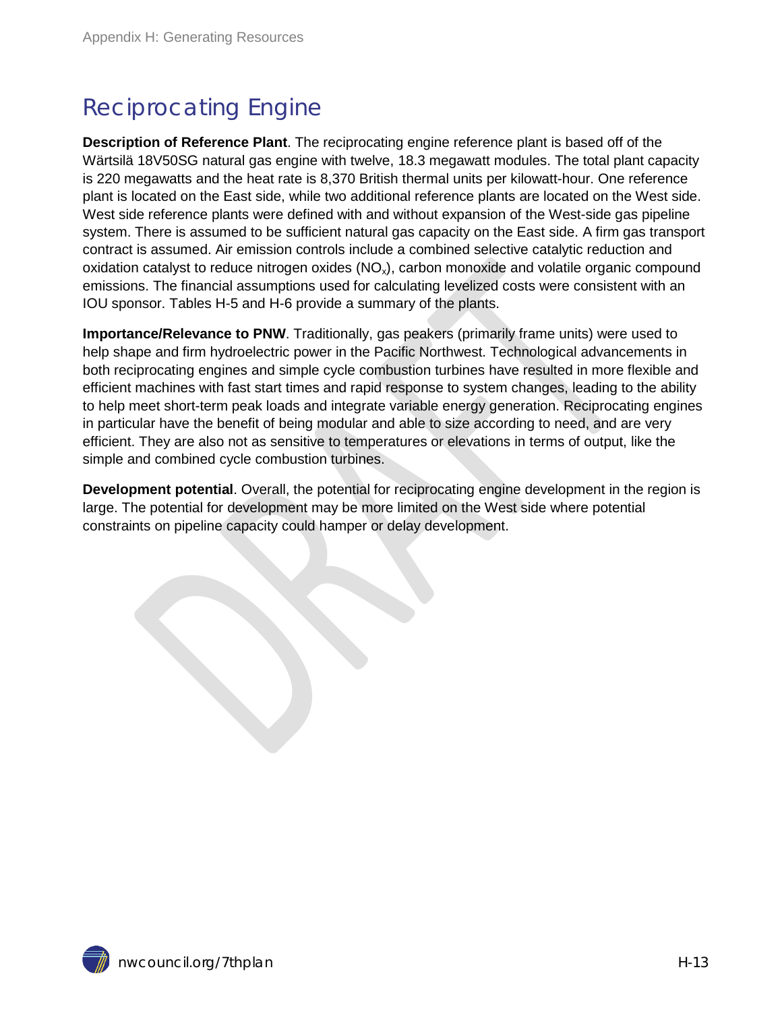## Reciprocating Engine

**Description of Reference Plant**. The reciprocating engine reference plant is based off of the Wärtsilä 18V50SG natural gas engine with twelve, 18.3 megawatt modules. The total plant capacity is 220 megawatts and the heat rate is 8,370 British thermal units per kilowatt-hour. One reference plant is located on the East side, while two additional reference plants are located on the West side. West side reference plants were defined with and without expansion of the West-side gas pipeline system. There is assumed to be sufficient natural gas capacity on the East side. A firm gas transport contract is assumed. Air emission controls include a combined selective catalytic reduction and oxidation catalyst to reduce nitrogen oxides  $(NO_x)$ , carbon monoxide and volatile organic compound emissions. The financial assumptions used for calculating levelized costs were consistent with an IOU sponsor. Tables H-5 and H-6 provide a summary of the plants.

**Importance/Relevance to PNW**. Traditionally, gas peakers (primarily frame units) were used to help shape and firm hydroelectric power in the Pacific Northwest. Technological advancements in both reciprocating engines and simple cycle combustion turbines have resulted in more flexible and efficient machines with fast start times and rapid response to system changes, leading to the ability to help meet short-term peak loads and integrate variable energy generation. Reciprocating engines in particular have the benefit of being modular and able to size according to need, and are very efficient. They are also not as sensitive to temperatures or elevations in terms of output, like the simple and combined cycle combustion turbines.

**Development potential**. Overall, the potential for reciprocating engine development in the region is large. The potential for development may be more limited on the West side where potential constraints on pipeline capacity could hamper or delay development.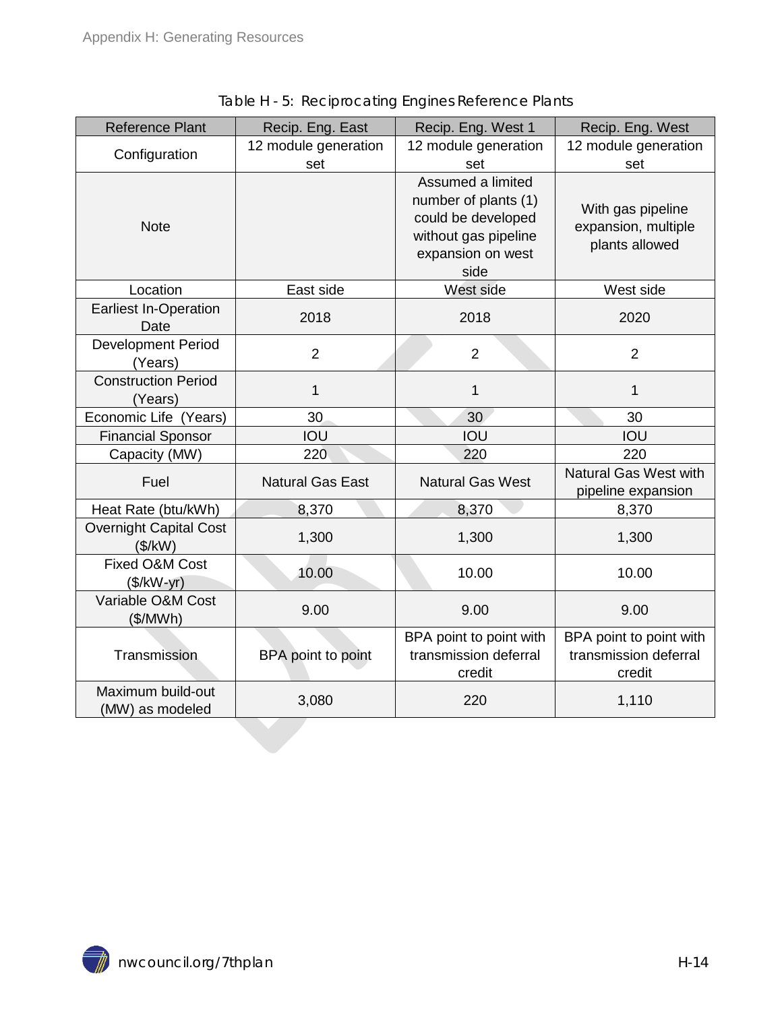<span id="page-13-0"></span>

| <b>Reference Plant</b>                     | Recip. Eng. East            | Recip. Eng. West 1                                                                                                   | Recip. Eng. West                                           |
|--------------------------------------------|-----------------------------|----------------------------------------------------------------------------------------------------------------------|------------------------------------------------------------|
| Configuration                              | 12 module generation<br>set | 12 module generation<br>set                                                                                          | 12 module generation<br>set                                |
| <b>Note</b>                                |                             | Assumed a limited<br>number of plants (1)<br>could be developed<br>without gas pipeline<br>expansion on west<br>side | With gas pipeline<br>expansion, multiple<br>plants allowed |
| Location                                   | East side                   | West side                                                                                                            | West side                                                  |
| <b>Earliest In-Operation</b><br>Date       | 2018                        | 2018                                                                                                                 | 2020                                                       |
| <b>Development Period</b><br>(Years)       | $\overline{2}$              | $\overline{2}$                                                                                                       | $\overline{2}$                                             |
| <b>Construction Period</b><br>1<br>(Years) |                             | $\mathbf{1}$                                                                                                         | 1                                                          |
| Economic Life (Years)                      | 30                          | 30                                                                                                                   | 30                                                         |
| <b>Financial Sponsor</b>                   | IOU                         | IOU                                                                                                                  | IOU                                                        |
| Capacity (MW)                              | 220                         | 220                                                                                                                  | 220                                                        |
| Fuel                                       | <b>Natural Gas East</b>     | <b>Natural Gas West</b>                                                                                              | <b>Natural Gas West with</b><br>pipeline expansion         |
| Heat Rate (btu/kWh)                        | 8,370                       | 8,370                                                                                                                | 8,370                                                      |
| <b>Overnight Capital Cost</b><br>(\$/kW)   | 1,300                       | 1,300                                                                                                                | 1,300                                                      |
| Fixed O&M Cost<br>10.00<br>$($/kW-yr)$     |                             | 10.00                                                                                                                | 10.00                                                      |
| Variable O&M Cost<br>9.00<br>(\$/MWh)      |                             | 9.00                                                                                                                 | 9.00                                                       |
| Transmission                               | BPA point to point          | BPA point to point with<br>transmission deferral<br>credit                                                           | BPA point to point with<br>transmission deferral<br>credit |
| Maximum build-out<br>(MW) as modeled       | 3,080                       | 220                                                                                                                  | 1,110                                                      |

Table H - 5: Reciprocating Engines Reference Plants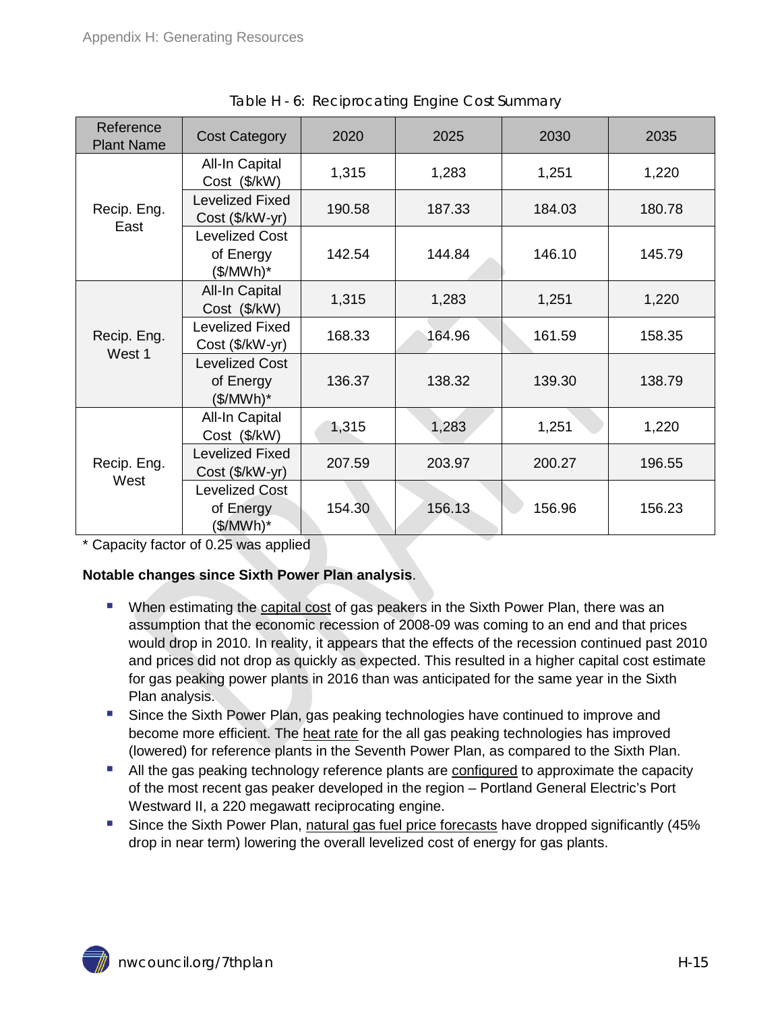<span id="page-14-0"></span>

| Reference<br><b>Plant Name</b> | <b>Cost Category</b>                                       | 2020   | 2025   | 2030   | 2035   |
|--------------------------------|------------------------------------------------------------|--------|--------|--------|--------|
|                                | All-In Capital<br>Cost (\$/kW)                             | 1,315  | 1,283  | 1,251  | 1,220  |
| Recip. Eng.                    | <b>Levelized Fixed</b><br>Cost (\$/kW-yr)                  | 190.58 | 187.33 | 184.03 | 180.78 |
| East                           | <b>Levelized Cost</b><br>of Energy<br>(\$/MWh)*            | 142.54 | 144.84 | 146.10 | 145.79 |
| Recip. Eng.<br>West 1          | All-In Capital<br>Cost (\$/kW)                             | 1,315  | 1,283  | 1,251  | 1,220  |
|                                | <b>Levelized Fixed</b><br>Cost (\$/kW-yr)                  | 168.33 | 164.96 | 161.59 | 158.35 |
|                                | <b>Levelized Cost</b><br>of Energy<br>(\$/MWh)*            | 136.37 | 138.32 | 139.30 | 138.79 |
|                                | All-In Capital<br>Cost (\$/kW)                             | 1,315  | 1,283  | 1,251  | 1,220  |
| Recip. Eng.<br>West            | <b>Levelized Fixed</b><br>Cost (\$/kW-yr)                  | 207.59 | 203.97 | 200.27 | 196.55 |
|                                | <b>Levelized Cost</b><br>of Energy<br>$(\frac{1}{2}MWh)^*$ | 154.30 | 156.13 | 156.96 | 156.23 |

Table H - 6: Reciprocating Engine Cost Summary

\* Capacity factor of 0.25 was applied

#### **Notable changes since Sixth Power Plan analysis**.

- **When estimating the capital cost of gas peakers in the Sixth Power Plan, there was an** assumption that the economic recession of 2008-09 was coming to an end and that prices would drop in 2010. In reality, it appears that the effects of the recession continued past 2010 and prices did not drop as quickly as expected. This resulted in a higher capital cost estimate for gas peaking power plants in 2016 than was anticipated for the same year in the Sixth Plan analysis.
- **Since the Sixth Power Plan, gas peaking technologies have continued to improve and** become more efficient. The heat rate for the all gas peaking technologies has improved (lowered) for reference plants in the Seventh Power Plan, as compared to the Sixth Plan.
- **All the gas peaking technology reference plants are configured to approximate the capacity** of the most recent gas peaker developed in the region – Portland General Electric's Port Westward II, a 220 megawatt reciprocating engine.
- Since the Sixth Power Plan, natural gas fuel price forecasts have dropped significantly (45% drop in near term) lowering the overall levelized cost of energy for gas plants.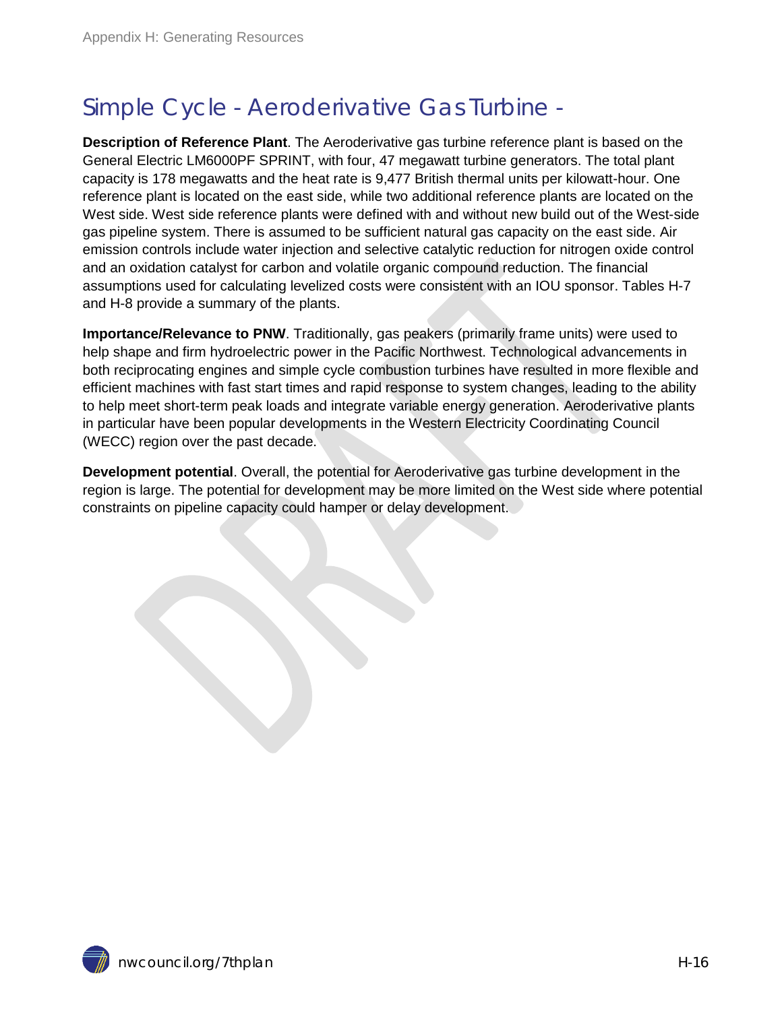## <span id="page-15-0"></span>Simple Cycle - Aeroderivative Gas Turbine -

**Description of Reference Plant**. The Aeroderivative gas turbine reference plant is based on the General Electric LM6000PF SPRINT, with four, 47 megawatt turbine generators. The total plant capacity is 178 megawatts and the heat rate is 9,477 British thermal units per kilowatt-hour. One reference plant is located on the east side, while two additional reference plants are located on the West side. West side reference plants were defined with and without new build out of the West-side gas pipeline system. There is assumed to be sufficient natural gas capacity on the east side. Air emission controls include water injection and selective catalytic reduction for nitrogen oxide control and an oxidation catalyst for carbon and volatile organic compound reduction. The financial assumptions used for calculating levelized costs were consistent with an IOU sponsor. Tables H-7 and H-8 provide a summary of the plants.

**Importance/Relevance to PNW**. Traditionally, gas peakers (primarily frame units) were used to help shape and firm hydroelectric power in the Pacific Northwest. Technological advancements in both reciprocating engines and simple cycle combustion turbines have resulted in more flexible and efficient machines with fast start times and rapid response to system changes, leading to the ability to help meet short-term peak loads and integrate variable energy generation. Aeroderivative plants in particular have been popular developments in the Western Electricity Coordinating Council (WECC) region over the past decade.

**Development potential**. Overall, the potential for Aeroderivative gas turbine development in the region is large. The potential for development may be more limited on the West side where potential constraints on pipeline capacity could hamper or delay development.

nwcouncil.org/7thplan H-16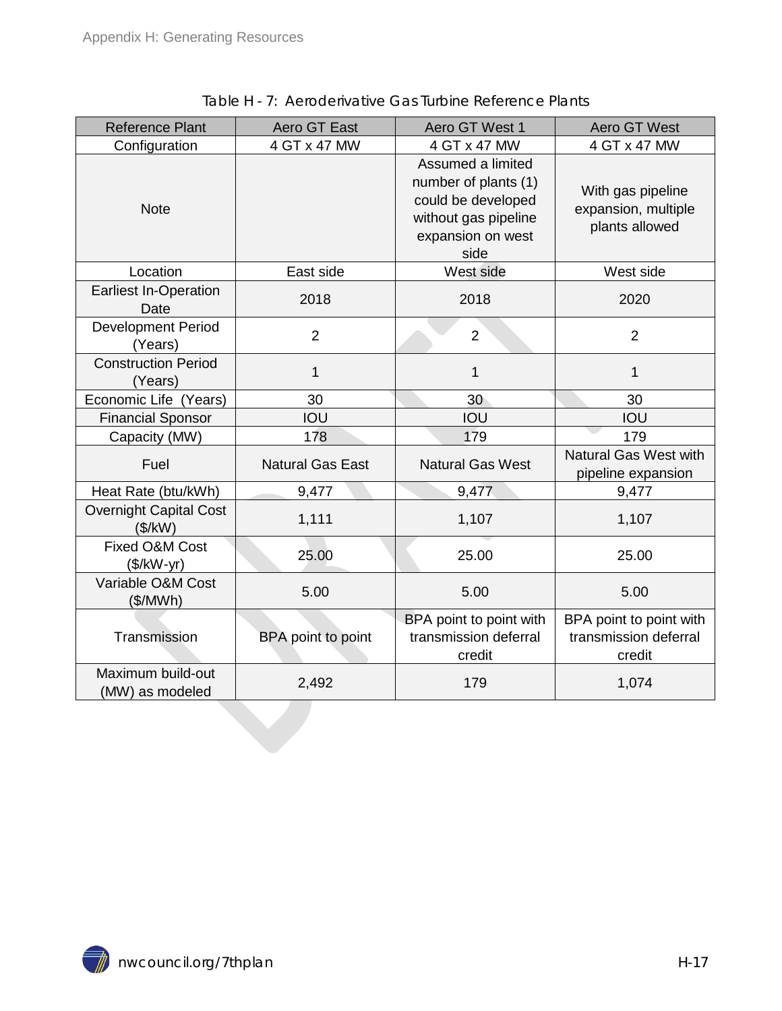<span id="page-16-0"></span>

| <b>Reference Plant</b>                   | Aero GT East                 | Aero GT West 1                                                                                                       | <b>Aero GT West</b>                                        |
|------------------------------------------|------------------------------|----------------------------------------------------------------------------------------------------------------------|------------------------------------------------------------|
| Configuration                            | 4 GT x 47 MW<br>4 GT x 47 MW |                                                                                                                      | 4 GT x 47 MW                                               |
| <b>Note</b>                              |                              | Assumed a limited<br>number of plants (1)<br>could be developed<br>without gas pipeline<br>expansion on west<br>side | With gas pipeline<br>expansion, multiple<br>plants allowed |
| Location                                 | East side                    | West side                                                                                                            | West side                                                  |
| <b>Earliest In-Operation</b><br>Date     | 2018                         | 2018                                                                                                                 | 2020                                                       |
| Development Period<br>(Years)            | $\overline{2}$               | $\overline{2}$                                                                                                       | $\overline{2}$                                             |
| <b>Construction Period</b><br>(Years)    | 1                            | $\mathbf{1}$                                                                                                         | 1                                                          |
| Economic Life (Years)                    | 30                           | 30                                                                                                                   | 30                                                         |
| <b>Financial Sponsor</b>                 | IOU                          | IOU                                                                                                                  | IOU                                                        |
| Capacity (MW)                            | 178                          | 179                                                                                                                  | 179                                                        |
| Fuel                                     | <b>Natural Gas East</b>      | <b>Natural Gas West</b>                                                                                              | <b>Natural Gas West with</b><br>pipeline expansion         |
| Heat Rate (btu/kWh)                      | 9,477                        | 9,477                                                                                                                | 9,477                                                      |
| <b>Overnight Capital Cost</b><br>(\$/kW) | 1,111                        | 1,107                                                                                                                | 1,107                                                      |
| Fixed O&M Cost<br>25.00<br>$($/kW-yr)$   |                              | 25.00                                                                                                                | 25.00                                                      |
| Variable O&M Cost<br>5.00<br>(\$/MWh)    |                              | 5.00                                                                                                                 | 5.00                                                       |
| Transmission                             | BPA point to point           | BPA point to point with<br>transmission deferral<br>credit                                                           | BPA point to point with<br>transmission deferral<br>credit |
| Maximum build-out<br>(MW) as modeled     | 2,492                        | 179                                                                                                                  | 1,074                                                      |

Table H - 7: Aeroderivative Gas Turbine Reference Plants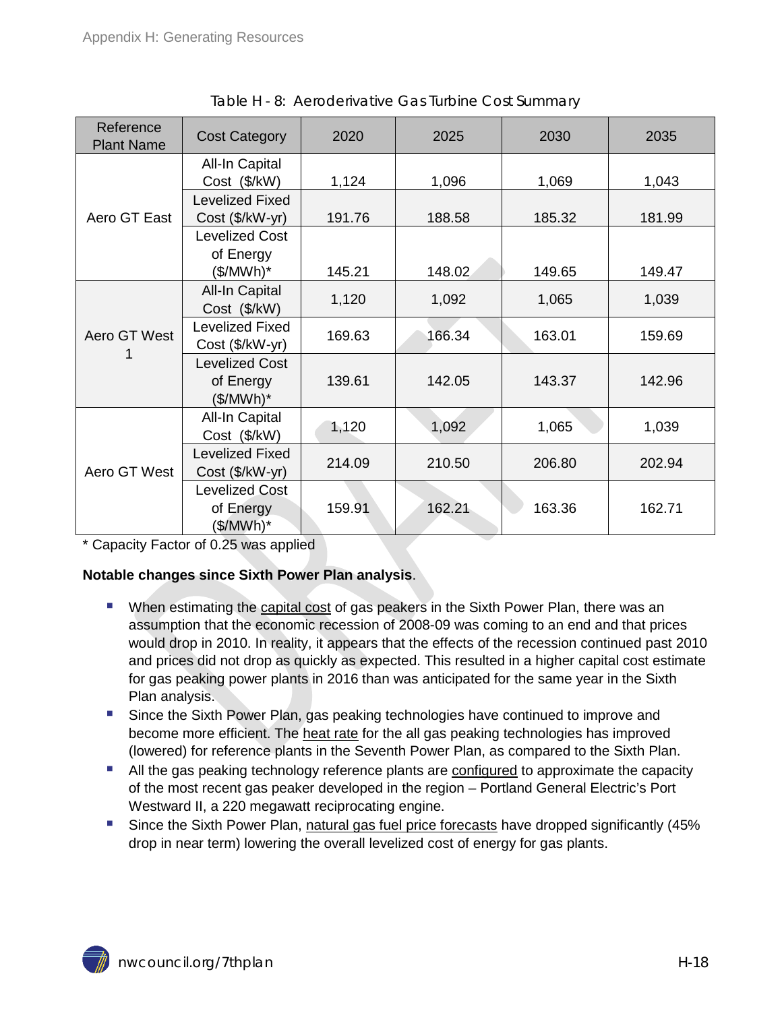<span id="page-17-0"></span>

| Reference<br><b>Plant Name</b> | <b>Cost Category</b>                                       | 2020   | 2025   | 2030   | 2035   |
|--------------------------------|------------------------------------------------------------|--------|--------|--------|--------|
|                                | All-In Capital<br>Cost (\$/kW)                             | 1,124  | 1,096  | 1,069  | 1,043  |
| Aero GT East                   | <b>Levelized Fixed</b><br>Cost (\$/kW-yr)                  | 191.76 | 188.58 | 185.32 | 181.99 |
|                                | <b>Levelized Cost</b><br>of Energy                         |        |        |        |        |
|                                | (\$/MWh)*<br>All-In Capital                                | 145.21 | 148.02 | 149.65 | 149.47 |
|                                | Cost (\$/kW)                                               | 1,120  | 1,092  | 1,065  | 1,039  |
| Aero GT West                   | <b>Levelized Fixed</b><br>Cost (\$/kW-yr)                  | 169.63 | 166.34 | 163.01 | 159.69 |
|                                | <b>Levelized Cost</b><br>of Energy<br>(\$/MWh)*            | 139.61 | 142.05 | 143.37 | 142.96 |
|                                | All-In Capital<br>Cost (\$/kW)                             | 1,120  | 1,092  | 1,065  | 1,039  |
| Aero GT West                   | <b>Levelized Fixed</b><br>Cost (\$/kW-yr)                  | 214.09 | 210.50 | 206.80 | 202.94 |
|                                | <b>Levelized Cost</b><br>of Energy<br>$(\frac{1}{2}MWh)^*$ | 159.91 | 162.21 | 163.36 | 162.71 |

Table H - 8: Aeroderivative Gas Turbine Cost Summary

\* Capacity Factor of 0.25 was applied

#### **Notable changes since Sixth Power Plan analysis**.

- **When estimating the capital cost of gas peakers in the Sixth Power Plan, there was an** assumption that the economic recession of 2008-09 was coming to an end and that prices would drop in 2010. In reality, it appears that the effects of the recession continued past 2010 and prices did not drop as quickly as expected. This resulted in a higher capital cost estimate for gas peaking power plants in 2016 than was anticipated for the same year in the Sixth Plan analysis.
- **Since the Sixth Power Plan, gas peaking technologies have continued to improve and** become more efficient. The heat rate for the all gas peaking technologies has improved (lowered) for reference plants in the Seventh Power Plan, as compared to the Sixth Plan.
- **All the gas peaking technology reference plants are configured to approximate the capacity** of the most recent gas peaker developed in the region – Portland General Electric's Port Westward II, a 220 megawatt reciprocating engine.
- Since the Sixth Power Plan, natural gas fuel price forecasts have dropped significantly (45% drop in near term) lowering the overall levelized cost of energy for gas plants.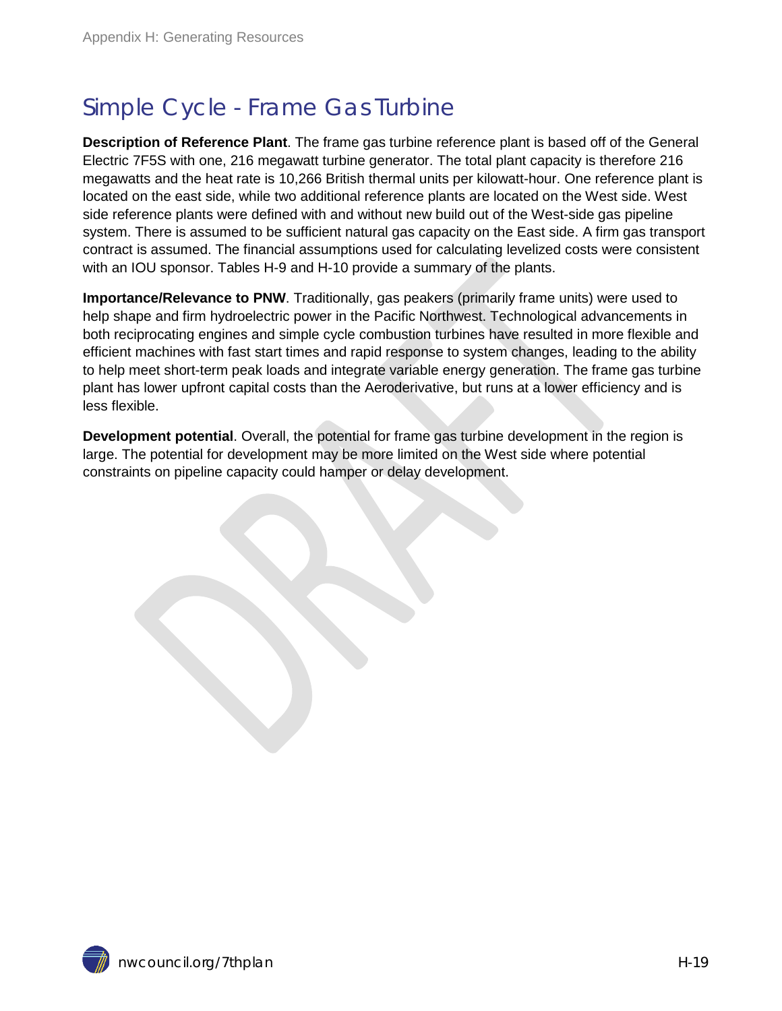## <span id="page-18-0"></span>Simple Cycle - Frame Gas Turbine

**Description of Reference Plant**. The frame gas turbine reference plant is based off of the General Electric 7F5S with one, 216 megawatt turbine generator. The total plant capacity is therefore 216 megawatts and the heat rate is 10,266 British thermal units per kilowatt-hour. One reference plant is located on the east side, while two additional reference plants are located on the West side. West side reference plants were defined with and without new build out of the West-side gas pipeline system. There is assumed to be sufficient natural gas capacity on the East side. A firm gas transport contract is assumed. The financial assumptions used for calculating levelized costs were consistent with an IOU sponsor. Tables H-9 and H-10 provide a summary of the plants.

**Importance/Relevance to PNW**. Traditionally, gas peakers (primarily frame units) were used to help shape and firm hydroelectric power in the Pacific Northwest. Technological advancements in both reciprocating engines and simple cycle combustion turbines have resulted in more flexible and efficient machines with fast start times and rapid response to system changes, leading to the ability to help meet short-term peak loads and integrate variable energy generation. The frame gas turbine plant has lower upfront capital costs than the Aeroderivative, but runs at a lower efficiency and is less flexible.

**Development potential**. Overall, the potential for frame gas turbine development in the region is large. The potential for development may be more limited on the West side where potential constraints on pipeline capacity could hamper or delay development.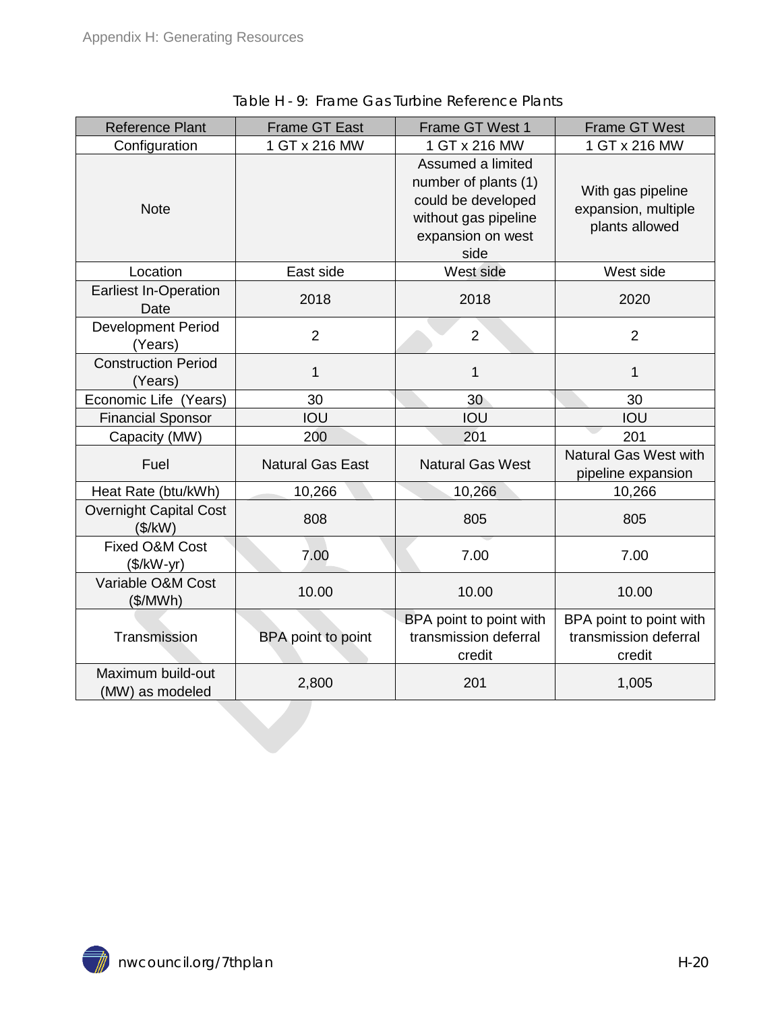| <b>Reference Plant</b>                   | <b>Frame GT East</b>    | Frame GT West 1                                                                                                      | <b>Frame GT West</b>                                       |
|------------------------------------------|-------------------------|----------------------------------------------------------------------------------------------------------------------|------------------------------------------------------------|
| Configuration                            | 1 GT x 216 MW           | 1 GT x 216 MW                                                                                                        | 1 GT x 216 MW                                              |
| <b>Note</b>                              |                         | Assumed a limited<br>number of plants (1)<br>could be developed<br>without gas pipeline<br>expansion on west<br>side | With gas pipeline<br>expansion, multiple<br>plants allowed |
| Location                                 | East side               | West side                                                                                                            | West side                                                  |
| <b>Earliest In-Operation</b><br>Date     | 2018                    | 2018                                                                                                                 | 2020                                                       |
| <b>Development Period</b><br>(Years)     | $\overline{2}$          | $\overline{2}$                                                                                                       | $\overline{2}$                                             |
| <b>Construction Period</b><br>(Years)    | 1                       | $\mathbf{1}$                                                                                                         | $\mathbf 1$                                                |
| Economic Life (Years)                    | 30                      | 30                                                                                                                   | 30                                                         |
| <b>Financial Sponsor</b>                 | IOU                     | IOU                                                                                                                  | IOU                                                        |
| Capacity (MW)                            | 200                     | 201                                                                                                                  | 201                                                        |
| Fuel                                     | <b>Natural Gas East</b> | <b>Natural Gas West</b>                                                                                              | <b>Natural Gas West with</b><br>pipeline expansion         |
| Heat Rate (btu/kWh)                      | 10,266                  | 10,266                                                                                                               | 10,266                                                     |
| <b>Overnight Capital Cost</b><br>(\$/kW) | 808                     | 805                                                                                                                  | 805                                                        |
| Fixed O&M Cost<br>$($/kW-yr)$            | 7.00                    | 7.00                                                                                                                 | 7.00                                                       |
| Variable O&M Cost<br>(\$/MWh)            | 10.00                   | 10.00                                                                                                                | 10.00                                                      |
| Transmission                             | BPA point to point      | BPA point to point with<br>transmission deferral<br>credit                                                           | BPA point to point with<br>transmission deferral<br>credit |
| Maximum build-out<br>(MW) as modeled     | 2,800                   | 201                                                                                                                  | 1,005                                                      |
|                                          |                         |                                                                                                                      |                                                            |

<span id="page-19-0"></span>Table H - 9: Frame Gas Turbine Reference Plants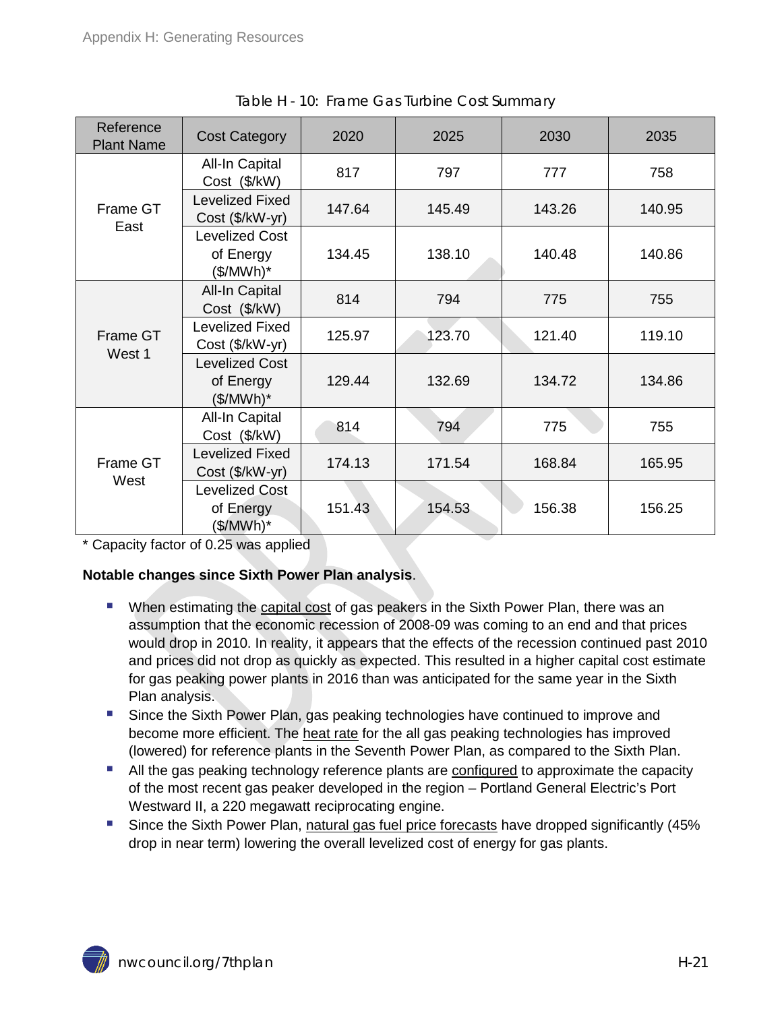<span id="page-20-0"></span>

| Reference<br><b>Plant Name</b> | <b>Cost Category</b>                              | 2020   | 2025   | 2030   | 2035   |
|--------------------------------|---------------------------------------------------|--------|--------|--------|--------|
|                                | All-In Capital<br>Cost (\$/kW)                    | 817    | 797    | 777    | 758    |
| Frame GT<br>East               | <b>Levelized Fixed</b><br>Cost (\$/kW-yr)         | 147.64 | 145.49 | 143.26 | 140.95 |
|                                | <b>Levelized Cost</b><br>of Energy<br>(\$/MWh)*   | 134.45 | 138.10 | 140.48 | 140.86 |
|                                | All-In Capital<br>Cost (\$/kW)                    | 814    | 794    | 775    | 755    |
| Frame GT<br>West 1             | <b>Levelized Fixed</b><br>Cost (\$/kW-yr)         | 125.97 | 123.70 | 121.40 | 119.10 |
|                                | <b>Levelized Cost</b><br>of Energy<br>(\$/MWh)*   | 129.44 | 132.69 | 134.72 | 134.86 |
|                                | All-In Capital<br>Cost (\$/kW)                    | 814    | 794    | 775    | 755    |
| Frame GT<br>West               | <b>Levelized Fixed</b><br>Cost (\$/kW-yr)         | 174.13 | 171.54 | 168.84 | 165.95 |
|                                | <b>Levelized Cost</b><br>of Energy<br>$($/MWh)^*$ | 151.43 | 154.53 | 156.38 | 156.25 |

\* Capacity factor of 0.25 was applied

#### **Notable changes since Sixth Power Plan analysis**.

- **When estimating the capital cost of gas peakers in the Sixth Power Plan, there was an** assumption that the economic recession of 2008-09 was coming to an end and that prices would drop in 2010. In reality, it appears that the effects of the recession continued past 2010 and prices did not drop as quickly as expected. This resulted in a higher capital cost estimate for gas peaking power plants in 2016 than was anticipated for the same year in the Sixth Plan analysis.
- **Since the Sixth Power Plan, gas peaking technologies have continued to improve and** become more efficient. The heat rate for the all gas peaking technologies has improved (lowered) for reference plants in the Seventh Power Plan, as compared to the Sixth Plan.
- **All the gas peaking technology reference plants are configured to approximate the capacity** of the most recent gas peaker developed in the region – Portland General Electric's Port Westward II, a 220 megawatt reciprocating engine.
- Since the Sixth Power Plan, natural gas fuel price forecasts have dropped significantly (45% drop in near term) lowering the overall levelized cost of energy for gas plants.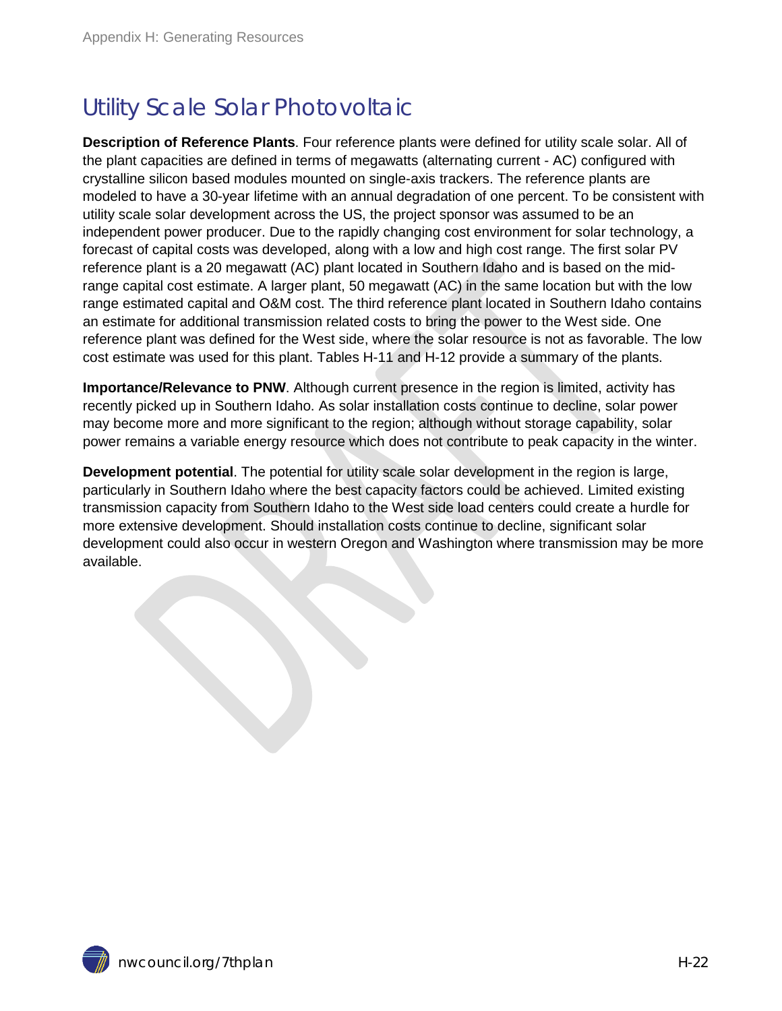## <span id="page-21-0"></span>Utility Scale Solar Photovoltaic

**Description of Reference Plants**. Four reference plants were defined for utility scale solar. All of the plant capacities are defined in terms of megawatts (alternating current - AC) configured with crystalline silicon based modules mounted on single-axis trackers. The reference plants are modeled to have a 30-year lifetime with an annual degradation of one percent. To be consistent with utility scale solar development across the US, the project sponsor was assumed to be an independent power producer. Due to the rapidly changing cost environment for solar technology, a forecast of capital costs was developed, along with a low and high cost range. The first solar PV reference plant is a 20 megawatt (AC) plant located in Southern Idaho and is based on the midrange capital cost estimate. A larger plant, 50 megawatt (AC) in the same location but with the low range estimated capital and O&M cost. The third reference plant located in Southern Idaho contains an estimate for additional transmission related costs to bring the power to the West side. One reference plant was defined for the West side, where the solar resource is not as favorable. The low cost estimate was used for this plant. Tables H-11 and H-12 provide a summary of the plants.

**Importance/Relevance to PNW**. Although current presence in the region is limited, activity has recently picked up in Southern Idaho. As solar installation costs continue to decline, solar power may become more and more significant to the region; although without storage capability, solar power remains a variable energy resource which does not contribute to peak capacity in the winter.

**Development potential**. The potential for utility scale solar development in the region is large, particularly in Southern Idaho where the best capacity factors could be achieved. Limited existing transmission capacity from Southern Idaho to the West side load centers could create a hurdle for more extensive development. Should installation costs continue to decline, significant solar development could also occur in western Oregon and Washington where transmission may be more available.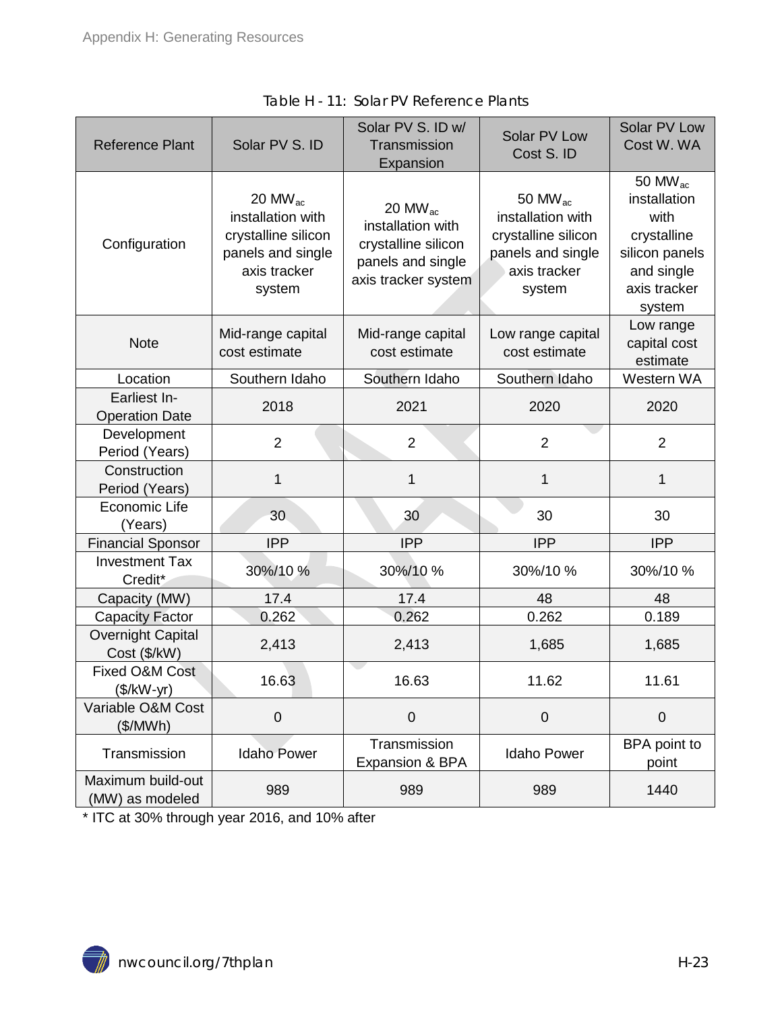<span id="page-22-0"></span>

| <b>Reference Plant</b>                | Solar PV S. ID                                                                                                 | Solar PV S. ID w/<br>Transmission<br>Expansion                                                              | Solar PV Low<br>Cost S. ID                                                                               | Solar PV Low<br>Cost W. WA                                                                                     |
|---------------------------------------|----------------------------------------------------------------------------------------------------------------|-------------------------------------------------------------------------------------------------------------|----------------------------------------------------------------------------------------------------------|----------------------------------------------------------------------------------------------------------------|
| Configuration                         | 20 MW <sub>ac</sub><br>installation with<br>crystalline silicon<br>panels and single<br>axis tracker<br>system | 20 MW <sub>ac</sub><br>installation with<br>crystalline silicon<br>panels and single<br>axis tracker system | 50 MW $_{ac}$<br>installation with<br>crystalline silicon<br>panels and single<br>axis tracker<br>system | 50 MW $_{ac}$<br>installation<br>with<br>crystalline<br>silicon panels<br>and single<br>axis tracker<br>system |
| <b>Note</b>                           | Mid-range capital<br>cost estimate                                                                             | Mid-range capital<br>cost estimate                                                                          | Low range capital<br>cost estimate                                                                       | Low range<br>capital cost<br>estimate                                                                          |
| Location                              | Southern Idaho                                                                                                 | Southern Idaho                                                                                              | Southern Idaho                                                                                           | Western WA                                                                                                     |
| Earliest In-<br><b>Operation Date</b> | 2018                                                                                                           | 2021                                                                                                        | 2020                                                                                                     | 2020                                                                                                           |
| Development<br>Period (Years)         | $\overline{2}$                                                                                                 | $\overline{2}$                                                                                              | $\overline{2}$                                                                                           | $\overline{2}$                                                                                                 |
| Construction<br>Period (Years)        | 1                                                                                                              | 1                                                                                                           | 1                                                                                                        | 1                                                                                                              |
| Economic Life<br>(Years)              | 30                                                                                                             | 30                                                                                                          | 30                                                                                                       | 30                                                                                                             |
| <b>Financial Sponsor</b>              | <b>IPP</b>                                                                                                     | <b>IPP</b>                                                                                                  | <b>IPP</b>                                                                                               | <b>IPP</b>                                                                                                     |
| <b>Investment Tax</b><br>Credit*      | 30%/10%                                                                                                        | 30%/10%                                                                                                     | 30%/10%                                                                                                  | 30%/10%                                                                                                        |
| Capacity (MW)                         | 17.4                                                                                                           | 17.4                                                                                                        | 48                                                                                                       | 48                                                                                                             |
| <b>Capacity Factor</b>                | 0.262                                                                                                          | 0.262                                                                                                       | 0.262                                                                                                    | 0.189                                                                                                          |
| Overnight Capital<br>Cost (\$/kW)     | 2,413                                                                                                          | 2,413                                                                                                       | 1,685                                                                                                    | 1,685                                                                                                          |
| Fixed O&M Cost<br>$($/kW-yr)$         | 16.63                                                                                                          | 16.63                                                                                                       | 11.62                                                                                                    | 11.61                                                                                                          |
| Variable O&M Cost<br>(\$/MWh)         | $\overline{0}$                                                                                                 | $\mathbf 0$                                                                                                 | $\mathbf 0$                                                                                              | $\mathbf 0$                                                                                                    |
| Transmission                          | <b>Idaho Power</b>                                                                                             | Transmission<br>Expansion & BPA                                                                             | <b>Idaho Power</b>                                                                                       | BPA point to<br>point                                                                                          |
| Maximum build-out<br>(MW) as modeled  | 989                                                                                                            | 989                                                                                                         | 989                                                                                                      | 1440                                                                                                           |

|  | Table H - 11: Solar PV Reference Plants |  |
|--|-----------------------------------------|--|
|  |                                         |  |

\* ITC at 30% through year 2016, and 10% after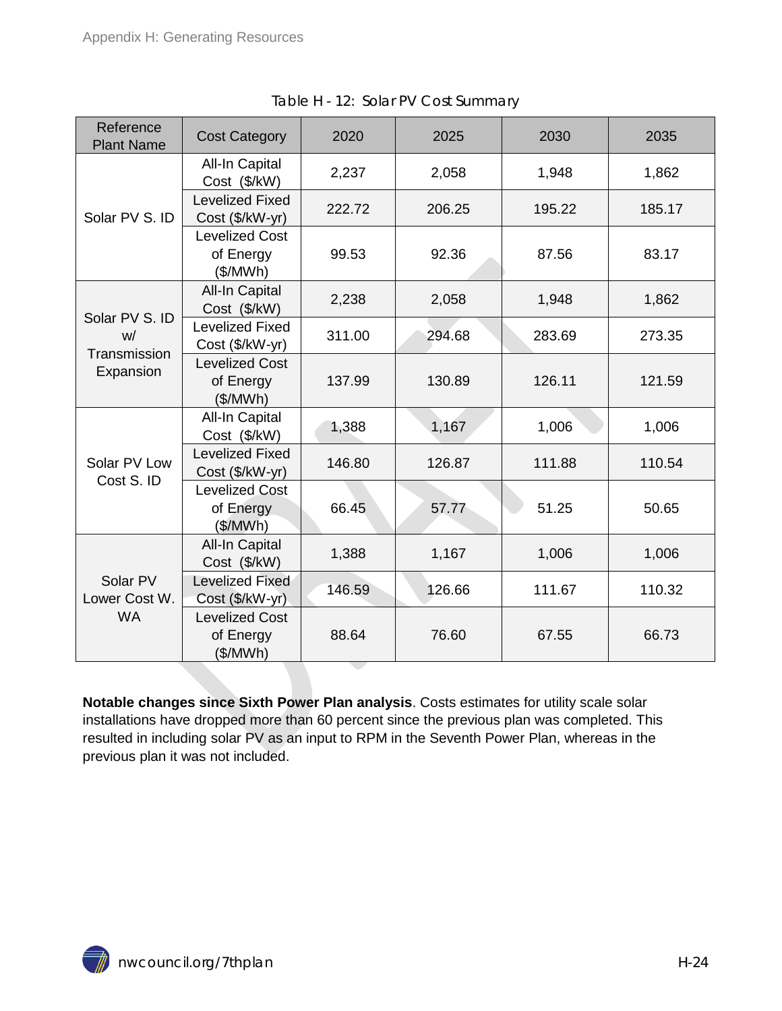<span id="page-23-1"></span>

| Reference<br><b>Plant Name</b>         | <b>Cost Category</b>                           | 2020   | 2025   | 2030   | 2035   |
|----------------------------------------|------------------------------------------------|--------|--------|--------|--------|
|                                        | <b>All-In Capital</b><br>Cost (\$/kW)          | 2,237  | 2,058  | 1,948  | 1,862  |
| Solar PV S. ID                         | <b>Levelized Fixed</b><br>Cost (\$/kW-yr)      | 222.72 | 206.25 | 195.22 | 185.17 |
|                                        | <b>Levelized Cost</b><br>of Energy<br>(\$/MWh) | 99.53  | 92.36  | 87.56  | 83.17  |
| Solar PV S. ID                         | <b>All-In Capital</b><br>Cost (\$/kW)          | 2,238  | 2,058  | 1,948  | 1,862  |
| W/<br>Transmission                     | <b>Levelized Fixed</b><br>Cost (\$/kW-yr)      | 311.00 | 294.68 | 283.69 | 273.35 |
| Expansion                              | <b>Levelized Cost</b><br>of Energy<br>(\$/MWh) | 137.99 | 130.89 | 126.11 | 121.59 |
|                                        | All-In Capital<br>Cost (\$/kW)                 | 1,388  | 1,167  | 1,006  | 1,006  |
| Solar PV Low                           | <b>Levelized Fixed</b><br>Cost (\$/kW-yr)      | 146.80 | 126.87 | 111.88 | 110.54 |
| Cost S. ID                             | <b>Levelized Cost</b><br>of Energy<br>(\$/MWh) | 66.45  | 57.77  | 51.25  | 50.65  |
| Solar PV<br>Lower Cost W.<br><b>WA</b> | <b>All-In Capital</b><br>Cost (\$/kW)          | 1,388  | 1,167  | 1,006  | 1,006  |
|                                        | <b>Levelized Fixed</b><br>Cost (\$/kW-yr)      | 146.59 | 126.66 | 111.67 | 110.32 |
|                                        | <b>Levelized Cost</b><br>of Energy<br>(\$/MWh) | 88.64  | 76.60  | 67.55  | 66.73  |

<span id="page-23-0"></span>**Notable changes since Sixth Power Plan analysis**. Costs estimates for utility scale solar installations have dropped more than 60 percent since the previous plan was completed. This resulted in including solar PV as an input to RPM in the Seventh Power Plan, whereas in the previous plan it was not included.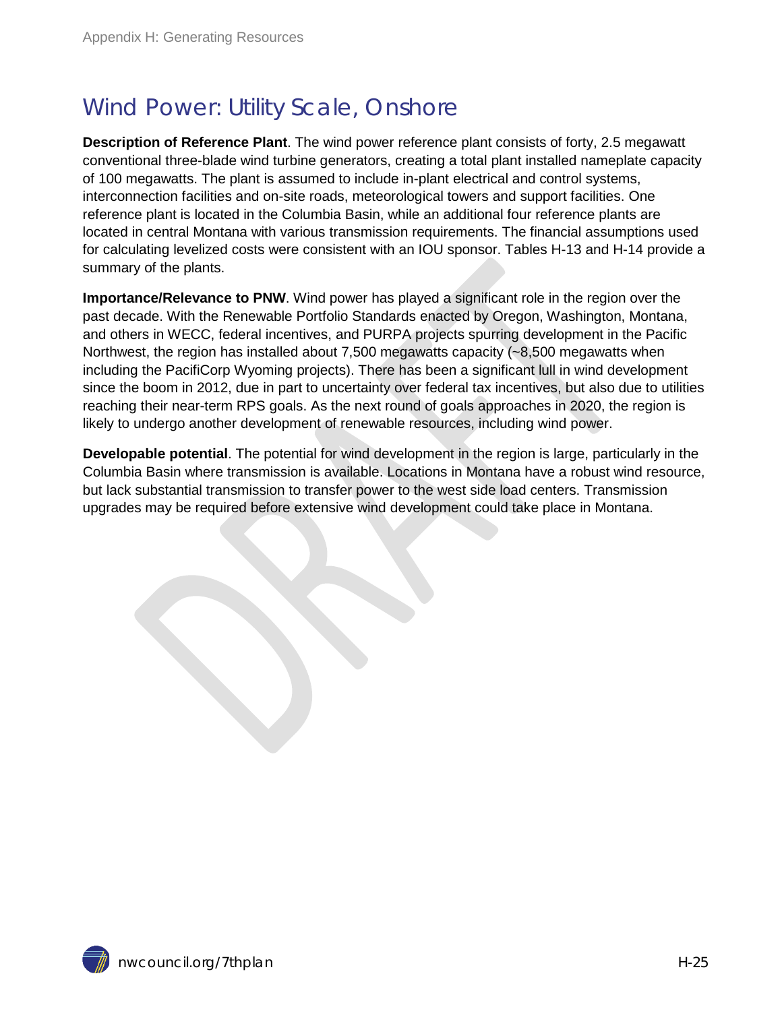### Wind Power: Utility Scale, Onshore

**Description of Reference Plant**. The wind power reference plant consists of forty, 2.5 megawatt conventional three-blade wind turbine generators, creating a total plant installed nameplate capacity of 100 megawatts. The plant is assumed to include in-plant electrical and control systems, interconnection facilities and on-site roads, meteorological towers and support facilities. One reference plant is located in the Columbia Basin, while an additional four reference plants are located in central Montana with various transmission requirements. The financial assumptions used for calculating levelized costs were consistent with an IOU sponsor. Tables H-13 and H-14 provide a summary of the plants.

**Importance/Relevance to PNW**. Wind power has played a significant role in the region over the past decade. With the Renewable Portfolio Standards enacted by Oregon, Washington, Montana, and others in WECC, federal incentives, and PURPA projects spurring development in the Pacific Northwest, the region has installed about 7,500 megawatts capacity (~8,500 megawatts when including the PacifiCorp Wyoming projects). There has been a significant lull in wind development since the boom in 2012, due in part to uncertainty over federal tax incentives, but also due to utilities reaching their near-term RPS goals. As the next round of goals approaches in 2020, the region is likely to undergo another development of renewable resources, including wind power.

**Developable potential**. The potential for wind development in the region is large, particularly in the Columbia Basin where transmission is available. Locations in Montana have a robust wind resource, but lack substantial transmission to transfer power to the west side load centers. Transmission upgrades may be required before extensive wind development could take place in Montana.

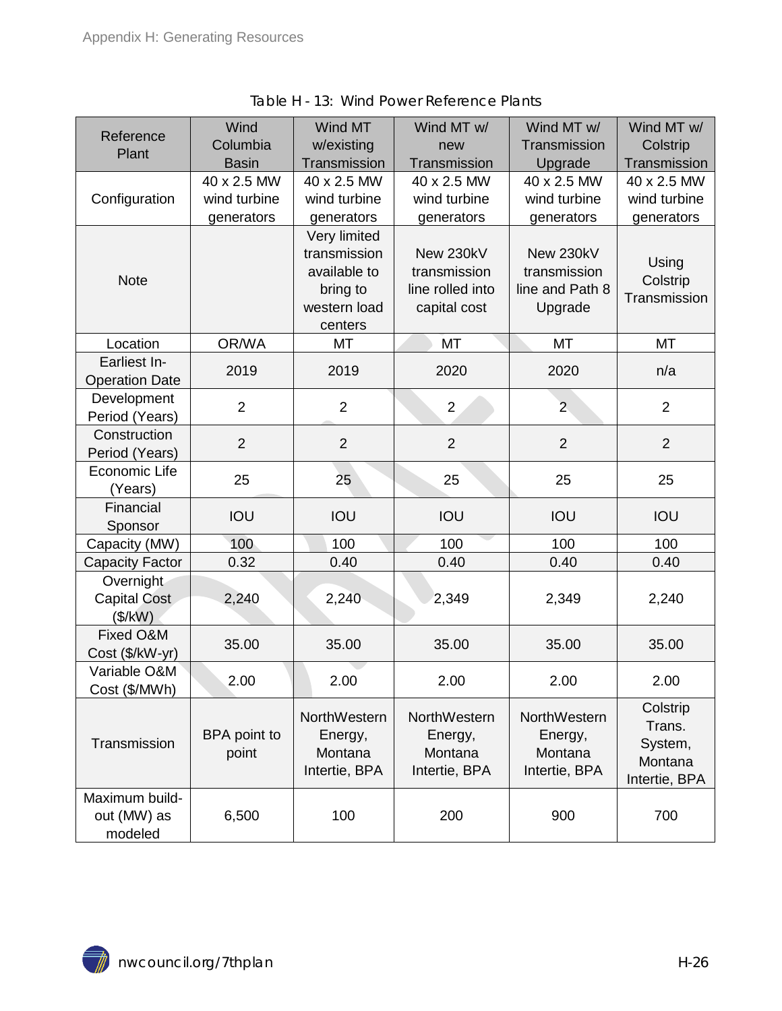<span id="page-25-0"></span>

| Reference<br>Plant                       | Wind<br>Columbia<br><b>Basin</b>          | Wind MT<br>w/existing<br>Transmission                                               | Wind MT w/<br>new<br>Transmission                             | Wind MT w/<br>Transmission<br>Upgrade                   | Wind MT w/<br>Colstrip<br>Transmission                    |
|------------------------------------------|-------------------------------------------|-------------------------------------------------------------------------------------|---------------------------------------------------------------|---------------------------------------------------------|-----------------------------------------------------------|
| Configuration                            | 40 x 2.5 MW<br>wind turbine<br>generators | 40 x 2.5 MW<br>wind turbine<br>generators                                           | 40 x 2.5 MW<br>wind turbine<br>generators                     | 40 x 2.5 MW<br>wind turbine<br>generators               | 40 x 2.5 MW<br>wind turbine<br>generators                 |
| <b>Note</b>                              |                                           | Very limited<br>transmission<br>available to<br>bring to<br>western load<br>centers | New 230kV<br>transmission<br>line rolled into<br>capital cost | New 230kV<br>transmission<br>line and Path 8<br>Upgrade | Using<br>Colstrip<br>Transmission                         |
| Location                                 | OR/WA                                     | MT                                                                                  | <b>MT</b>                                                     | <b>MT</b>                                               | <b>MT</b>                                                 |
| Earliest In-<br><b>Operation Date</b>    | 2019                                      | 2019                                                                                | 2020                                                          | 2020                                                    | n/a                                                       |
| Development<br>Period (Years)            | $\overline{2}$                            | $\overline{2}$                                                                      | $\overline{2}$                                                | $\overline{2}$                                          | $\overline{2}$                                            |
| Construction<br>Period (Years)           | $\overline{2}$                            | $\overline{2}$                                                                      | $\overline{2}$                                                | $\overline{2}$                                          | $\overline{2}$                                            |
| Economic Life<br>(Years)                 | 25                                        | 25                                                                                  | 25                                                            | 25                                                      | 25                                                        |
| Financial<br>Sponsor                     | IOU                                       | IOU                                                                                 | IOU                                                           | IOU                                                     | IOU                                                       |
| Capacity (MW)                            | 100                                       | 100                                                                                 | 100                                                           | 100                                                     | 100                                                       |
| Capacity Factor                          | 0.32                                      | 0.40                                                                                | 0.40                                                          | 0.40                                                    | 0.40                                                      |
| Overnight<br>Capital Cost<br>(\$/kW)     | 2,240                                     | 2,240                                                                               | 2,349                                                         | 2,349                                                   | 2,240                                                     |
| Fixed O&M<br>Cost (\$/kW-yr)             | 35.00                                     | 35.00                                                                               | 35.00                                                         | 35.00                                                   | 35.00                                                     |
| Variable O&M<br>Cost (\$/MWh)            | 2.00                                      | 2.00                                                                                | 2.00                                                          | 2.00                                                    | 2.00                                                      |
| Transmission                             | BPA point to<br>point                     | NorthWestern<br>Energy,<br>Montana<br>Intertie, BPA                                 | NorthWestern<br>Energy,<br>Montana<br>Intertie, BPA           | NorthWestern<br>Energy,<br>Montana<br>Intertie, BPA     | Colstrip<br>Trans.<br>System,<br>Montana<br>Intertie, BPA |
| Maximum build-<br>out (MW) as<br>modeled | 6,500                                     | 100                                                                                 | 200                                                           | 900                                                     | 700                                                       |

Table H - 13: Wind Power Reference Plants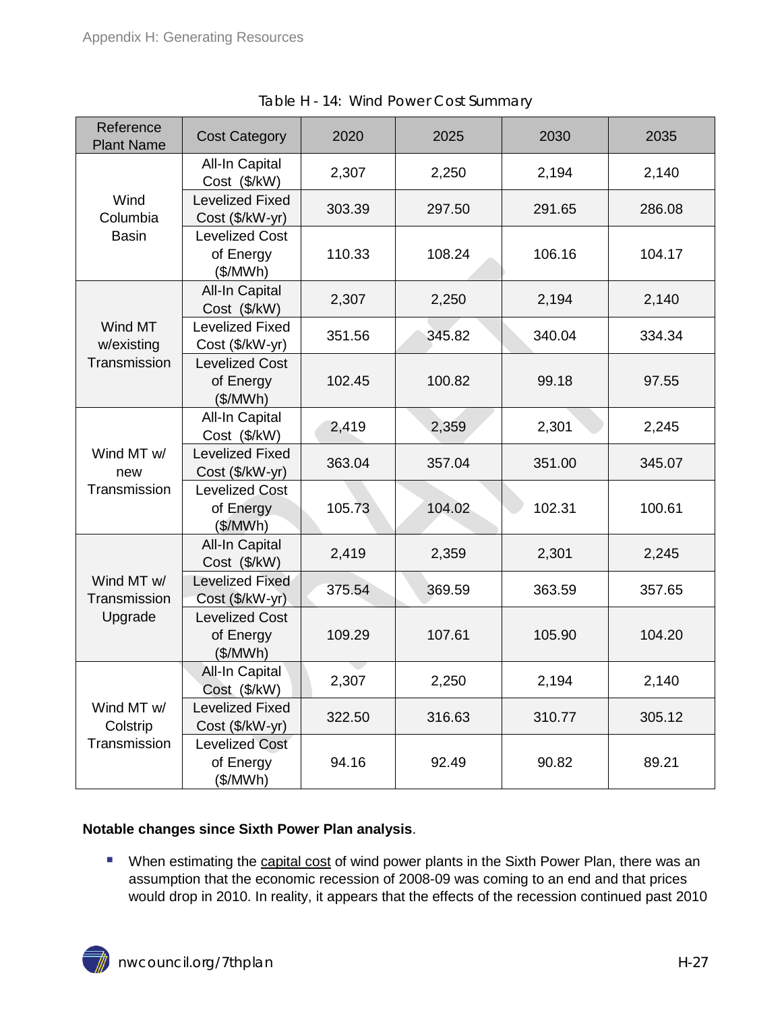<span id="page-26-0"></span>

| Reference<br><b>Plant Name</b>         | <b>Cost Category</b>                           | 2020   | 2025   | 2030   | 2035   |
|----------------------------------------|------------------------------------------------|--------|--------|--------|--------|
|                                        | All-In Capital<br>Cost (\$/kW)                 | 2,307  | 2,250  | 2,194  | 2,140  |
| Wind<br>Columbia                       | <b>Levelized Fixed</b><br>Cost (\$/kW-yr)      | 303.39 | 297.50 | 291.65 | 286.08 |
| <b>Basin</b>                           | <b>Levelized Cost</b><br>of Energy<br>(\$/MWh) | 110.33 | 108.24 | 106.16 | 104.17 |
|                                        | <b>All-In Capital</b><br>Cost (\$/kW)          | 2,307  | 2,250  | 2,194  | 2,140  |
| Wind MT<br>w/existing                  | <b>Levelized Fixed</b><br>Cost (\$/kW-yr)      | 351.56 | 345.82 | 340.04 | 334.34 |
| Transmission                           | <b>Levelized Cost</b><br>of Energy<br>(\$/MWh) | 102.45 | 100.82 | 99.18  | 97.55  |
|                                        | <b>All-In Capital</b><br>Cost (\$/kW)          | 2,419  | 2,359  | 2,301  | 2,245  |
| Wind MT w/<br>new                      | <b>Levelized Fixed</b><br>Cost (\$/kW-yr)      | 363.04 | 357.04 | 351.00 | 345.07 |
| Transmission                           | <b>Levelized Cost</b><br>of Energy<br>(\$/MWh) | 105.73 | 104.02 | 102.31 | 100.61 |
|                                        | All-In Capital<br>Cost (\$/kW)                 | 2,419  | 2,359  | 2,301  | 2,245  |
| Wind MT w/<br>Transmission             | Levelized Fixed<br>Cost (\$/kW-yr)             | 375.54 | 369.59 | 363.59 | 357.65 |
| Upgrade                                | <b>Levelized Cost</b><br>of Energy<br>(\$/MWh) | 109.29 | 107.61 | 105.90 | 104.20 |
| Wind MT w/<br>Colstrip<br>Transmission | All-In Capital<br>Cost (\$/kW)                 | 2,307  | 2,250  | 2,194  | 2,140  |
|                                        | Levelized Fixed<br>Cost (\$/kW-yr)             | 322.50 | 316.63 | 310.77 | 305.12 |
|                                        | <b>Levelized Cost</b><br>of Energy<br>(\$/MWh) | 94.16  | 92.49  | 90.82  | 89.21  |

Table H - 14: Wind Power Cost Summary

#### **Notable changes since Sixth Power Plan analysis**.

**Number 1** When estimating the capital cost of wind power plants in the Sixth Power Plan, there was an assumption that the economic recession of 2008-09 was coming to an end and that prices would drop in 2010. In reality, it appears that the effects of the recession continued past 2010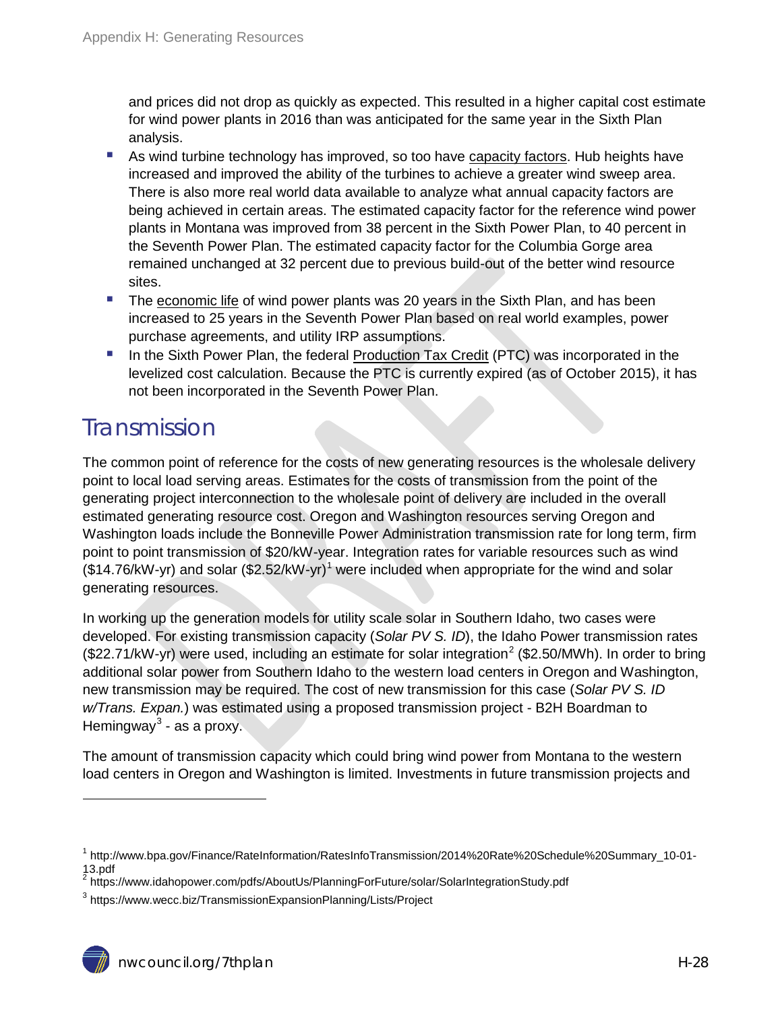and prices did not drop as quickly as expected. This resulted in a higher capital cost estimate for wind power plants in 2016 than was anticipated for the same year in the Sixth Plan analysis.

- **As wind turbine technology has improved, so too have capacity factors. Hub heights have** increased and improved the ability of the turbines to achieve a greater wind sweep area. There is also more real world data available to analyze what annual capacity factors are being achieved in certain areas. The estimated capacity factor for the reference wind power plants in Montana was improved from 38 percent in the Sixth Power Plan, to 40 percent in the Seventh Power Plan. The estimated capacity factor for the Columbia Gorge area remained unchanged at 32 percent due to previous build-out of the better wind resource sites.
- The economic life of wind power plants was 20 years in the Sixth Plan, and has been increased to 25 years in the Seventh Power Plan based on real world examples, power purchase agreements, and utility IRP assumptions.
- In the Sixth Power Plan, the federal Production Tax Credit (PTC) was incorporated in the levelized cost calculation. Because the PTC is currently expired (as of October 2015), it has not been incorporated in the Seventh Power Plan.

### <span id="page-27-0"></span>**Transmission**

 $\ddot{ }$ 

The common point of reference for the costs of new generating resources is the wholesale delivery point to local load serving areas. Estimates for the costs of transmission from the point of the generating project interconnection to the wholesale point of delivery are included in the overall estimated generating resource cost. Oregon and Washington resources serving Oregon and Washington loads include the Bonneville Power Administration transmission rate for long term, firm point to point transmission of \$20/kW-year. Integration rates for variable resources such as wind (\$[1](#page-0-0)4.76/kW-yr) and solar (\$2.52/kW-yr)<sup>1</sup> were included when appropriate for the wind and solar generating resources.

In working up the generation models for utility scale solar in Southern Idaho, two cases were developed. For existing transmission capacity (*Solar PV S. ID*), the Idaho Power transmission rates (\$[2](#page-27-1)2.71/kW-yr) were used, including an estimate for solar integration<sup>2</sup> (\$2.50/MWh). In order to bring additional solar power from Southern Idaho to the western load centers in Oregon and Washington, new transmission may be required. The cost of new transmission for this case (*Solar PV S. ID w/Trans. Expan.*) was estimated using a proposed transmission project - B2H Boardman to Hemingway $3$  - as a proxy.

The amount of transmission capacity which could bring wind power from Montana to the western load centers in Oregon and Washington is limited. Investments in future transmission projects and

<sup>1</sup> http://www.bpa.gov/Finance/RateInformation/RatesInfoTransmission/2014%20Rate%20Schedule%20Summary\_10-01- 13.pdf

<span id="page-27-1"></span><sup>&</sup>lt;sup>2</sup> https://www.idahopower.com/pdfs/AboutUs/PlanningForFuture/solar/SolarIntegrationStudy.pdf

<span id="page-27-3"></span><span id="page-27-2"></span><sup>3</sup> https://www.wecc.biz/TransmissionExpansionPlanning/Lists/Project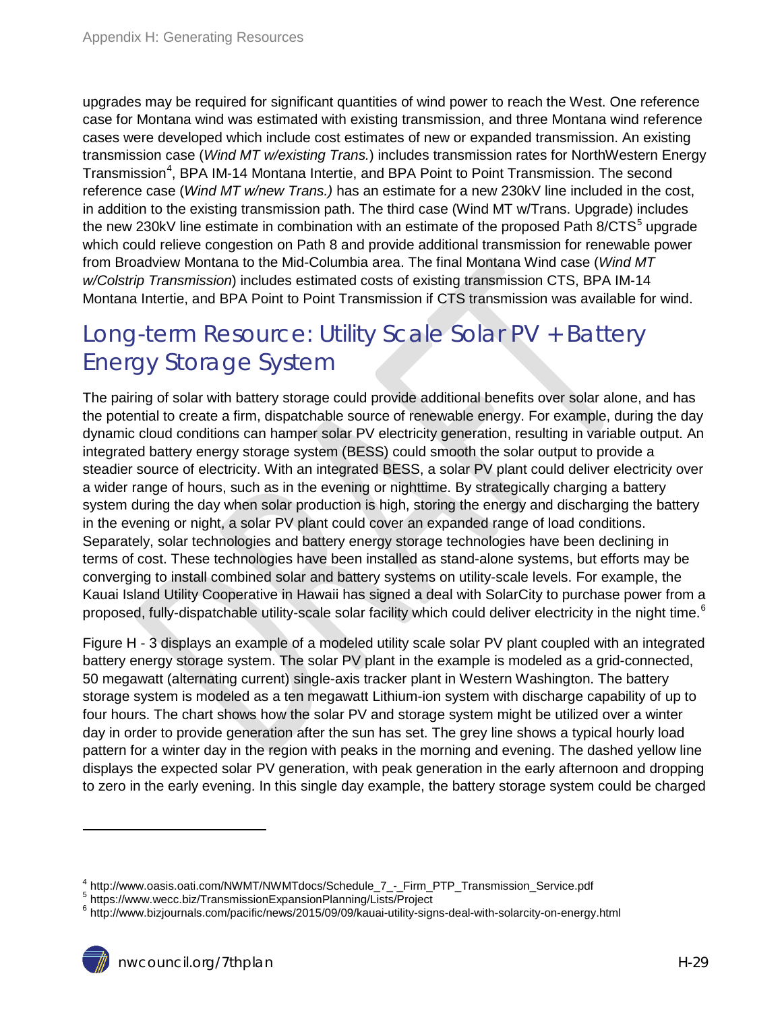upgrades may be required for significant quantities of wind power to reach the West. One reference case for Montana wind was estimated with existing transmission, and three Montana wind reference cases were developed which include cost estimates of new or expanded transmission. An existing transmission case (*Wind MT w/existing Trans.*) includes transmission rates for NorthWestern Energy Transmission<sup>[4](#page-27-3)</sup>, BPA IM-14 Montana Intertie, and BPA Point to Point Transmission. The second reference case (*Wind MT w/new Trans.)* has an estimate for a new 230kV line included in the cost, in addition to the existing transmission path. The third case (Wind MT w/Trans. Upgrade) includes the new 230kV line estimate in combination with an estimate of the proposed Path  $8/CTS<sup>5</sup>$  $8/CTS<sup>5</sup>$  $8/CTS<sup>5</sup>$  upgrade which could relieve congestion on Path 8 and provide additional transmission for renewable power from Broadview Montana to the Mid-Columbia area. The final Montana Wind case (*Wind MT w/Colstrip Transmission*) includes estimated costs of existing transmission CTS, BPA IM-14 Montana Intertie, and BPA Point to Point Transmission if CTS transmission was available for wind.

### <span id="page-28-0"></span>Long-term Resource: Utility Scale Solar PV + Battery Energy Storage System

The pairing of solar with battery storage could provide additional benefits over solar alone, and has the potential to create a firm, dispatchable source of renewable energy. For example, during the day dynamic cloud conditions can hamper solar PV electricity generation, resulting in variable output. An integrated battery energy storage system (BESS) could smooth the solar output to provide a steadier source of electricity. With an integrated BESS, a solar PV plant could deliver electricity over a wider range of hours, such as in the evening or nighttime. By strategically charging a battery system during the day when solar production is high, storing the energy and discharging the battery in the evening or night, a solar PV plant could cover an expanded range of load conditions. Separately, solar technologies and battery energy storage technologies have been declining in terms of cost. These technologies have been installed as stand-alone systems, but efforts may be converging to install combined solar and battery systems on utility-scale levels. For example, the Kauai Island Utility Cooperative in Hawaii has signed a deal with SolarCity to purchase power from a proposed, fully-dispatchable utility-scale solar facility which could deliver electricity in the night time.<sup>[6](#page-28-2)</sup>

Figure H - 3 displays an example of a modeled utility scale solar PV plant coupled with an integrated battery energy storage system. The solar PV plant in the example is modeled as a grid-connected, 50 megawatt (alternating current) single-axis tracker plant in Western Washington. The battery storage system is modeled as a ten megawatt Lithium-ion system with discharge capability of up to four hours. The chart shows how the solar PV and storage system might be utilized over a winter day in order to provide generation after the sun has set. The grey line shows a typical hourly load pattern for a winter day in the region with peaks in the morning and evening. The dashed yellow line displays the expected solar PV generation, with peak generation in the early afternoon and dropping to zero in the early evening. In this single day example, the battery storage system could be charged

 $\ddot{ }$ 

<span id="page-28-2"></span><span id="page-28-1"></span>

<span id="page-28-3"></span><sup>&</sup>lt;sup>4</sup> http://www.oasis.oati.com/NWMT/NWMTdocs/Schedule\_7\_-\_Firm\_PTP\_Transmission\_Service.pdf<br><sup>5</sup> https://www.wecc.biz/TransmissionExpansionPlanning/Lists/Project<br><sup>6</sup> http://www.bizjournals.com/pacific/news/2015/09/09/kauai-u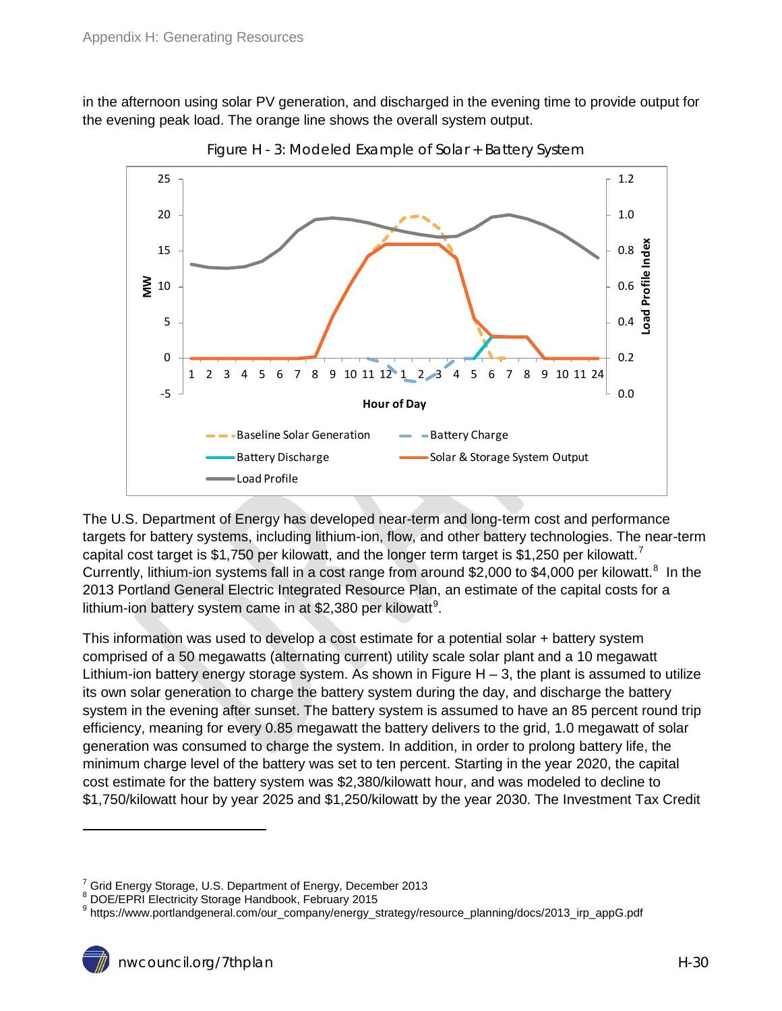<span id="page-29-0"></span>in the afternoon using solar PV generation, and discharged in the evening time to provide output for the evening peak load. The orange line shows the overall system output.



Figure H - 3: Modeled Example of Solar + Battery System

The U.S. Department of Energy has developed near-term and long-term cost and performance targets for battery systems, including lithium-ion, flow, and other battery technologies. The near-term capital cost target is \$1,[7](#page-28-3)50 per kilowatt, and the longer term target is \$1,250 per kilowatt.<sup>7</sup> Currently, lithium-ion systems fall in a cost range from around \$2,000 to \$4,000 per kilowatt.<sup>[8](#page-29-1)</sup> In the 2013 Portland General Electric Integrated Resource Plan, an estimate of the capital costs for a lithium-ion battery system came in at \$2,380 per kilowatt<sup>[9](#page-29-2)</sup>.

This information was used to develop a cost estimate for a potential solar + battery system comprised of a 50 megawatts (alternating current) utility scale solar plant and a 10 megawatt Lithium-ion battery energy storage system. As shown in Figure  $H - 3$ , the plant is assumed to utilize its own solar generation to charge the battery system during the day, and discharge the battery system in the evening after sunset. The battery system is assumed to have an 85 percent round trip efficiency, meaning for every 0.85 megawatt the battery delivers to the grid, 1.0 megawatt of solar generation was consumed to charge the system. In addition, in order to prolong battery life, the minimum charge level of the battery was set to ten percent. Starting in the year 2020, the capital cost estimate for the battery system was \$2,380/kilowatt hour, and was modeled to decline to \$1,750/kilowatt hour by year 2025 and \$1,250/kilowatt by the year 2030. The Investment Tax Credit

 $\ddot{ }$ 

 $^7$  Grid Energy Storage, U.S. Department of Energy, December 2013<br> $^8$  DOE/EPRI Electricity Storage Handbook, February 2015

<span id="page-29-1"></span>

<span id="page-29-2"></span><sup>&</sup>lt;sup>9</sup> https://www.portlandgeneral.com/our\_company/energy\_strategy/resource\_planning/docs/2013\_irp\_appG.pdf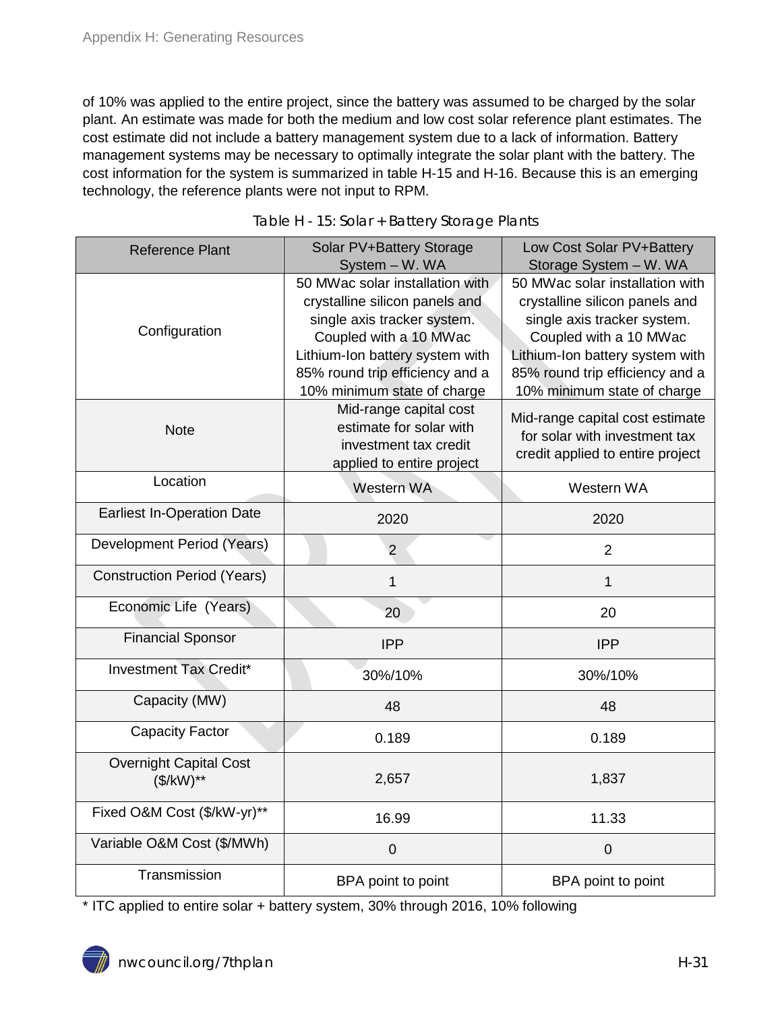of 10% was applied to the entire project, since the battery was assumed to be charged by the solar plant. An estimate was made for both the medium and low cost solar reference plant estimates. The cost estimate did not include a battery management system due to a lack of information. Battery management systems may be necessary to optimally integrate the solar plant with the battery. The cost information for the system is summarized in table H-15 and H-16. Because this is an emerging technology, the reference plants were not input to RPM.

<span id="page-30-0"></span>

| <b>Reference Plant</b>                      | Solar PV+Battery Storage<br>System - W. WA                                                                                                                                                                                      | Low Cost Solar PV+Battery<br>Storage System - W. WA                                                                                                                                                                             |
|---------------------------------------------|---------------------------------------------------------------------------------------------------------------------------------------------------------------------------------------------------------------------------------|---------------------------------------------------------------------------------------------------------------------------------------------------------------------------------------------------------------------------------|
| Configuration                               | 50 MWac solar installation with<br>crystalline silicon panels and<br>single axis tracker system.<br>Coupled with a 10 MWac<br>Lithium-Ion battery system with<br>85% round trip efficiency and a<br>10% minimum state of charge | 50 MWac solar installation with<br>crystalline silicon panels and<br>single axis tracker system.<br>Coupled with a 10 MWac<br>Lithium-Ion battery system with<br>85% round trip efficiency and a<br>10% minimum state of charge |
| <b>Note</b>                                 | Mid-range capital cost<br>estimate for solar with<br>investment tax credit<br>applied to entire project                                                                                                                         | Mid-range capital cost estimate<br>for solar with investment tax<br>credit applied to entire project                                                                                                                            |
| Location                                    | Western WA                                                                                                                                                                                                                      | Western WA                                                                                                                                                                                                                      |
| <b>Earliest In-Operation Date</b>           | 2020                                                                                                                                                                                                                            | 2020                                                                                                                                                                                                                            |
| Development Period (Years)                  | $\overline{2}$                                                                                                                                                                                                                  | $\overline{2}$                                                                                                                                                                                                                  |
| <b>Construction Period (Years)</b>          | 1                                                                                                                                                                                                                               | 1                                                                                                                                                                                                                               |
| Economic Life (Years)                       | 20                                                                                                                                                                                                                              | 20                                                                                                                                                                                                                              |
| <b>Financial Sponsor</b>                    | <b>IPP</b>                                                                                                                                                                                                                      | <b>IPP</b>                                                                                                                                                                                                                      |
| <b>Investment Tax Credit*</b>               | 30%/10%                                                                                                                                                                                                                         | 30%/10%                                                                                                                                                                                                                         |
| Capacity (MW)                               | 48                                                                                                                                                                                                                              | 48                                                                                                                                                                                                                              |
| <b>Capacity Factor</b>                      | 0.189                                                                                                                                                                                                                           | 0.189                                                                                                                                                                                                                           |
| <b>Overnight Capital Cost</b><br>$($/kW)**$ | 2,657                                                                                                                                                                                                                           | 1,837                                                                                                                                                                                                                           |
| Fixed O&M Cost (\$/kW-yr)**                 | 16.99                                                                                                                                                                                                                           | 11.33                                                                                                                                                                                                                           |
| Variable O&M Cost (\$/MWh)                  | $\mathbf 0$                                                                                                                                                                                                                     | $\boldsymbol{0}$                                                                                                                                                                                                                |
| Transmission                                | BPA point to point                                                                                                                                                                                                              | BPA point to point                                                                                                                                                                                                              |

Table H - 15: Solar + Battery Storage Plants

\* ITC applied to entire solar + battery system, 30% through 2016, 10% following